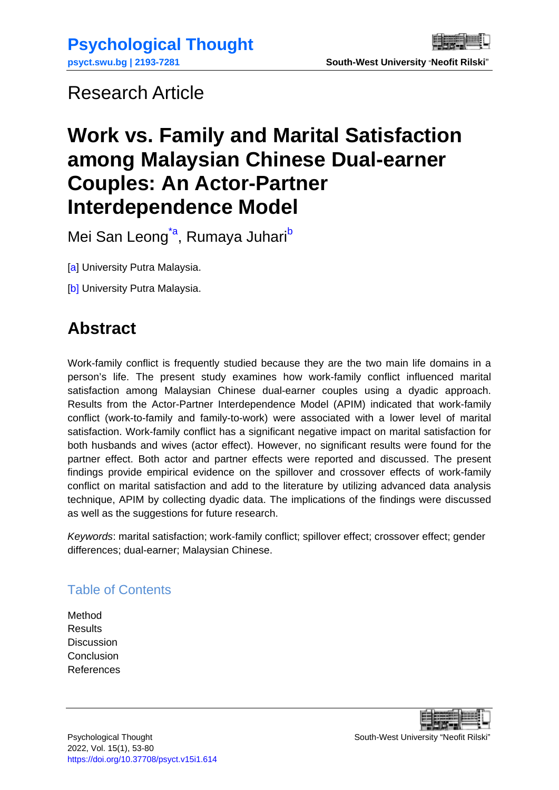## <span id="page-0-0"></span>Research Article

# **Work vs. Family and Marital Satisfaction among Malaysian Chinese Dual-earner Couples: An Actor-Partner Interdependence Model**

Mei San Leong<sup>[\\*a](#page-27-0)</sup>, Rumaya Juhari<sup>[b](#page-27-0)</sup>

[\[a\]](#page-27-0) University Putra Malaysia.

[b] University Putra Malaysia.

## **Abstract**

Work-family conflict is frequently studied because they are the two main life domains in a person's life. The present study examines how work-family conflict influenced marital satisfaction among Malaysian Chinese dual-earner couples using a dyadic approach. Results from the Actor-Partner Interdependence Model (APIM) indicated that work-family conflict (work-to-family and family-to-work) were associated with a lower level of marital satisfaction. Work-family conflict has a significant negative impact on marital satisfaction for both husbands and wives (actor effect). However, no significant results were found for the partner effect. Both actor and partner effects were reported and discussed. The present findings provide empirical evidence on the spillover and crossover effects of work-family conflict on marital satisfaction and add to the literature by utilizing advanced data analysis technique, APIM by collecting dyadic data. The implications of the findings were discussed as well as the suggestions for future research.

*Keywords*: marital satisfaction; work-family conflict; spillover effect; crossover effect; gender differences; dual-earner; Malaysian Chinese.

### Table of Contents

[Method](#page-9-0) **[Results](#page-13-0) [Discussion](#page-16-0) [Conclusion](#page-20-0)** [References](#page-20-1)

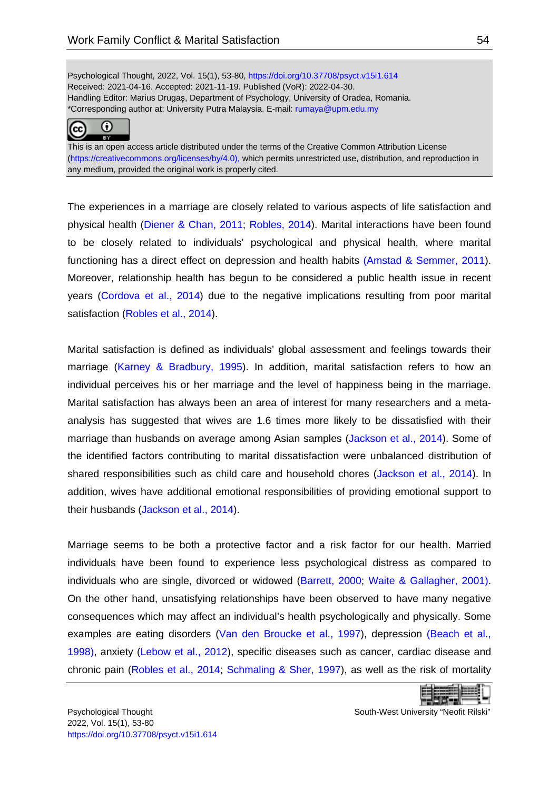Psychological Thought, 2022, Vol. 15(1), 53-80[, https://doi.org/10.37708/psyct.v15i1.614](https://doi.org/10.37708/psyct.v15i1.614) Received: 2021-04-16. Accepted: 2021-11-19. Published (VoR): 2022-04-30. Handling Editor: Marius Drugaș, Department of Psychology, University of Oradea, Romania. \*Corresponding author at: University Putra Malaysia. E-mail: [rumaya@upm.edu.my](mailto:rumaya@upm.edu.my)



This is an open access article distributed under the terms of the Creative Common Attribution License [\(https://creativecommons.org/licenses/by/4.0\)](https://creativecommons.org/licenses/by/4.0), which permits unrestricted use, distribution, and reproduction in any medium, provided the original work is properly cited.

The experiences in a marriage are closely related to various aspects of life satisfaction and physical health [\(Diener & Chan, 2011;](#page-22-0) [Robles, 2014\)](#page-25-0). Marital interactions have been found to be closely related to individuals' psychological and physical health, where marital functioning has a direct effect on depression and health habits [\(Amstad & Semmer, 2011\)](#page-20-2). Moreover, relationship health has begun to be considered a public health issue in recent years [\(Cordova et al., 2014\)](#page-21-0) due to the negative implications resulting from poor marital satisfaction [\(Robles et al., 2014\)](#page-25-1).

Marital satisfaction is defined as individuals' global assessment and feelings towards their marriage [\(Karney & Bradbury, 1995\)](#page-23-0). In addition, marital satisfaction refers to how an individual perceives his or her marriage and the level of happiness being in the marriage. Marital satisfaction has always been an area of interest for many researchers and a metaanalysis has suggested that wives are 1.6 times more likely to be dissatisfied with their marriage than husbands on average among Asian samples [\(Jackson et al., 2014\)](#page-23-1). Some of the identified factors contributing to marital dissatisfaction were unbalanced distribution of shared responsibilities such as child care and household chores [\(Jackson et al., 2014\)](#page-23-1). In addition, wives have additional emotional responsibilities of providing emotional support to their husbands [\(Jackson et al., 2014\)](#page-23-1).

Marriage seems to be both a protective factor and a risk factor for our health. Married individuals have been found to experience less psychological distress as compared to individuals who are single, divorced or widowed [\(Barrett, 2000;](#page-21-1) [Waite & Gallagher, 2001\).](#page-26-0) On the other hand, unsatisfying relationships have been observed to have many negative consequences which may affect an individual's health psychologically and physically. Some examples are eating disorders [\(Van den Broucke et al., 1997\)](#page-26-1), depression [\(Beach et al.,](#page-21-2)  1998), anxiety [\(Lebow et al., 2012\)](#page-24-0), specific diseases such as cancer, cardiac disease and chronic pain [\(Robles et al., 2014;](#page-25-1) [Schmaling & Sher, 1997\)](#page-26-2), as well as the risk of mortality

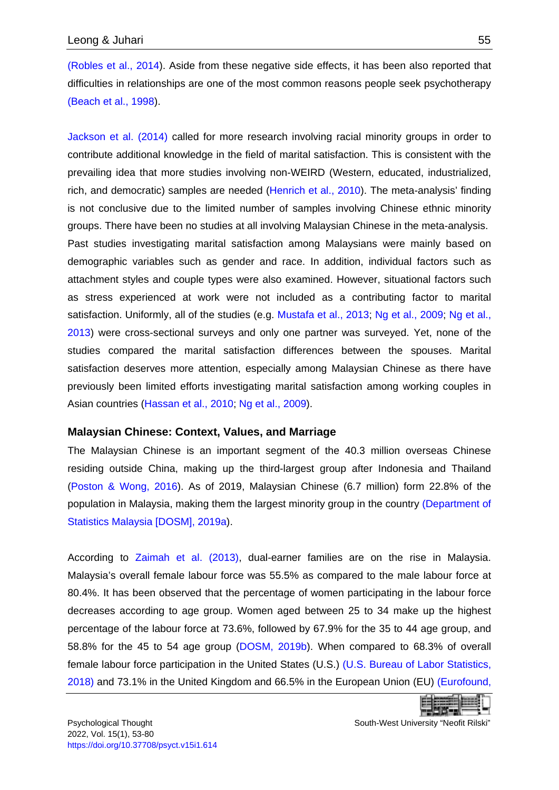[\(Robles et al., 2014\)](#page-25-1). Aside from these negative side effects, it has been also reported that difficulties in relationships are one of the most common reasons people seek psychotherapy [\(Beach et al., 1998\)](#page-21-2).

[Jackson et al. \(2014\)](#page-23-1) called for more research involving racial minority groups in order to contribute additional knowledge in the field of marital satisfaction. This is consistent with the prevailing idea that more studies involving non-WEIRD (Western, educated, industrialized, rich, and democratic) samples are needed [\(Henrich et al., 2010\)](#page-23-2). The meta-analysis' finding is not conclusive due to the limited number of samples involving Chinese ethnic minority groups. There have been no studies at all involving Malaysian Chinese in the meta-analysis. Past studies investigating marital satisfaction among Malaysians were mainly based on demographic variables such as gender and race. In addition, individual factors such as attachment styles and couple types were also examined. However, situational factors such as stress experienced at work were not included as a contributing factor to marital satisfaction. Uniformly, all of the studies (e.g. [Mustafa et al., 2013;](#page-24-1) [Ng et al., 2009;](#page-24-2) [Ng et al.,](#page-24-3)  [2013\)](#page-24-3) were cross-sectional surveys and only one partner was surveyed. Yet, none of the studies compared the marital satisfaction differences between the spouses. Marital satisfaction deserves more attention, especially among Malaysian Chinese as there have previously been limited efforts investigating marital satisfaction among working couples in Asian countries [\(Hassan et al., 2010;](#page-23-3) [Ng et al., 2009\)](#page-24-2).

#### **Malaysian Chinese: Context, Values, and Marriage**

The Malaysian Chinese is an important segment of the 40.3 million overseas Chinese residing outside China, making up the third-largest group after Indonesia and Thailand [\(Poston & Wong, 2016\)](#page-25-2). As of 2019, Malaysian Chinese (6.7 million) form 22.8% of the population in Malaysia, making them the largest minority group in the country [\(Department of](#page-21-3)  [Statistics Malaysia \[DOSM\], 2019a\)](#page-21-3).

According to [Zaimah et al. \(2013\),](#page-26-3) dual-earner families are on the rise in Malaysia. Malaysia's overall female labour force was 55.5% as compared to the male labour force at 80.4%. It has been observed that the percentage of women participating in the labour force decreases according to age group. Women aged between 25 to 34 make up the highest percentage of the labour force at 73.6%, followed by 67.9% for the 35 to 44 age group, and 58.8% for the 45 to 54 age group [\(DOSM, 2019b\)](#page-22-1). When compared to 68.3% of overall female labour force participation in the United States (U.S.) [\(U.S. Bureau of Labor Statistics,](#page-26-4)  2018) and 73.1% in the United Kingdom and 66.5% in the European Union (EU) [\(Eurofound,](#page-22-2)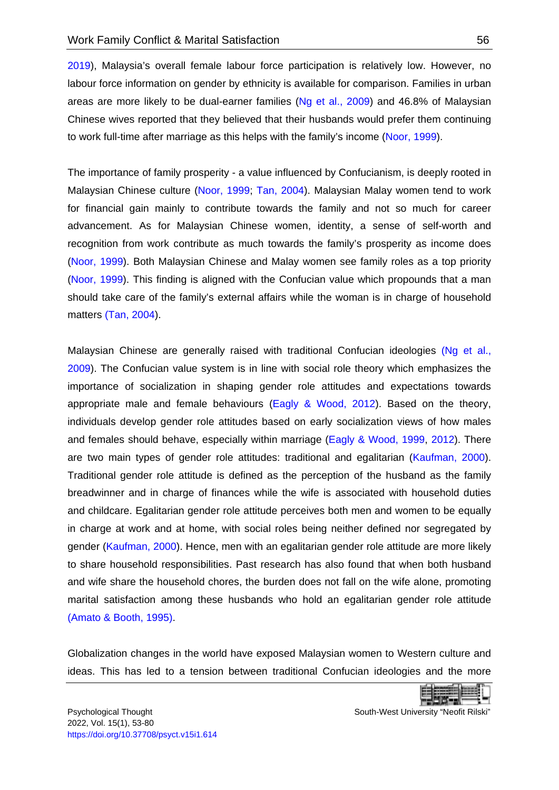2019), Malaysia's overall female labour force participation is relatively low. However, no labour force information on gender by ethnicity is available for comparison. Families in urban areas are more likely to be dual-earner families [\(Ng et al., 2009\)](#page-24-2) and 46.8% of Malaysian Chinese wives reported that they believed that their husbands would prefer them continuing to work full-time after marriage as this helps with the family's income [\(Noor, 1999\)](#page-25-3).

The importance of family prosperity - a value influenced by Confucianism, is deeply rooted in Malaysian Chinese culture [\(Noor, 1999;](#page-25-3) [Tan, 2004\)](#page-26-5). Malaysian Malay women tend to work for financial gain mainly to contribute towards the family and not so much for career advancement. As for Malaysian Chinese women, identity, a sense of self-worth and recognition from work contribute as much towards the family's prosperity as income does [\(Noor, 1999\)](#page-25-3). Both Malaysian Chinese and Malay women see family roles as a top priority [\(Noor, 1999\)](#page-25-3). This finding is aligned with the Confucian value which propounds that a man should take care of the family's external affairs while the woman is in charge of household matters [\(Tan, 2004\)](#page-26-5).

Malaysian Chinese are generally raised with traditional Confucian ideologies (Ng et al., [2009\)](#page-24-2). The Confucian value system is in line with social role theory which emphasizes the importance of socialization in shaping gender role attitudes and expectations towards appropriate male and female behaviours [\(Eagly & Wood, 2012\)](#page-22-3). Based on the theory, individuals develop gender role attitudes based on early socialization views of how males and females should behave, especially within marriage [\(Eagly & Wood, 1999,](#page-22-4) [2012\)](#page-22-3). There are two main types of gender role attitudes: traditional and egalitarian [\(Kaufman, 2000\)](#page-23-4). Traditional gender role attitude is defined as the perception of the husband as the family breadwinner and in charge of finances while the wife is associated with household duties and childcare. Egalitarian gender role attitude perceives both men and women to be equally in charge at work and at home, with social roles being neither defined nor segregated by gender [\(Kaufman, 2000\)](#page-23-4). Hence, men with an egalitarian gender role attitude are more likely to share household responsibilities. Past research has also found that when both husband and wife share the household chores, the burden does not fall on the wife alone, promoting marital satisfaction among these husbands who hold an egalitarian gender role attitude [\(Amato & Booth, 1995\).](#page-20-3)

Globalization changes in the world have exposed Malaysian women to Western culture and ideas. This has led to a tension between traditional Confucian ideologies and the more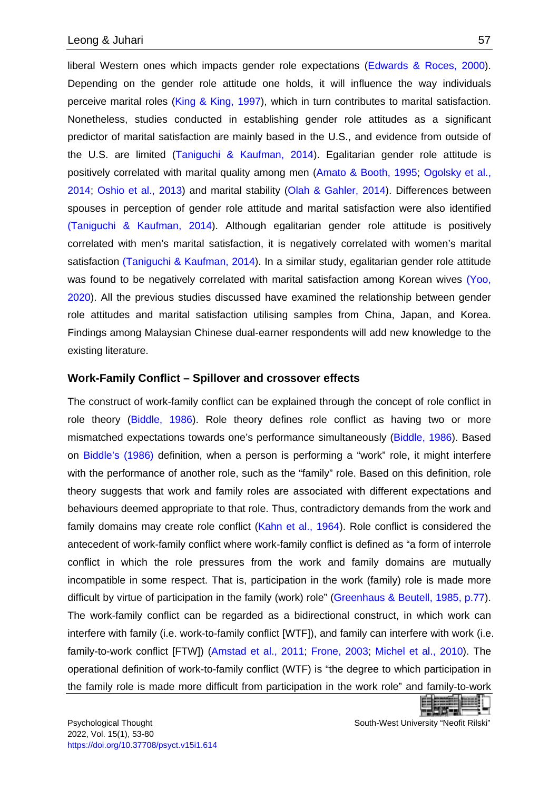liberal Western ones which impacts gender role expectations [\(Edwards & Roces, 2000\)](#page-22-5). Depending on the gender role attitude one holds, it will influence the way individuals perceive marital roles [\(King & King, 1997\)](#page-23-5), which in turn contributes to marital satisfaction. Nonetheless, studies conducted in establishing gender role attitudes as a significant predictor of marital satisfaction are mainly based in the U.S., and evidence from outside of the U.S. are limited [\(Taniguchi & Kaufman, 2014\)](#page-26-6). Egalitarian gender role attitude is positively correlated with marital quality among men [\(Amato & Booth, 1995;](#page-20-3) [Ogolsky et al.,](#page-25-4)  [2014;](#page-25-4) [Oshio et al., 2013\)](#page-25-5) and marital stability [\(Olah & Gahler, 2014\)](#page-25-6). Differences between spouses in perception of gender role attitude and marital satisfaction were also identified [\(Taniguchi & Kaufman, 2014\)](#page-26-6). Although egalitarian gender role attitude is positively correlated with men's marital satisfaction, it is negatively correlated with women's marital satisfaction [\(Taniguchi & Kaufman, 2014\)](#page-26-6). In a similar study, egalitarian gender role attitude was found to be negatively correlated with marital satisfaction among Korean wives [\(Yoo,](#page-26-7)  [2020\)](#page-26-7). All the previous studies discussed have examined the relationship between gender role attitudes and marital satisfaction utilising samples from China, Japan, and Korea. Findings among Malaysian Chinese dual-earner respondents will add new knowledge to the existing literature.

#### **Work-Family Conflict – Spillover and crossover effects**

The construct of work-family conflict can be explained through the concept of role conflict in role theory [\(Biddle, 1986\)](#page-21-4). Role theory defines role conflict as having two or more mismatched expectations towards one's performance simultaneously [\(Biddle, 1986\)](#page-21-4). Based on [Biddle's \(1986\)](#page-21-4) definition, when a person is performing a "work" role, it might interfere with the performance of another role, such as the "family" role. Based on this definition, role theory suggests that work and family roles are associated with different expectations and behaviours deemed appropriate to that role. Thus, contradictory demands from the work and family domains may create role conflict [\(Kahn et al., 1964\)](#page-23-6). Role conflict is considered the antecedent of work-family conflict where work-family conflict is defined as "a form of interrole conflict in which the role pressures from the work and family domains are mutually incompatible in some respect. That is, participation in the work (family) role is made more difficult by virtue of participation in the family (work) role" [\(Greenhaus & Beutell, 1985, p.77\)](#page-23-7). The work-family conflict can be regarded as a bidirectional construct, in which work can interfere with family (i.e. work-to-family conflict [WTF]), and family can interfere with work (i.e. family-to-work conflict [FTW]) [\(Amstad et al., 2011;](#page-20-4) [Frone, 2003;](#page-22-6) [Michel et al., 2010\)](#page-24-4). The operational definition of work-to-family conflict (WTF) is "the degree to which participation in the family role is made more difficult from participation in the work role" and family-to-work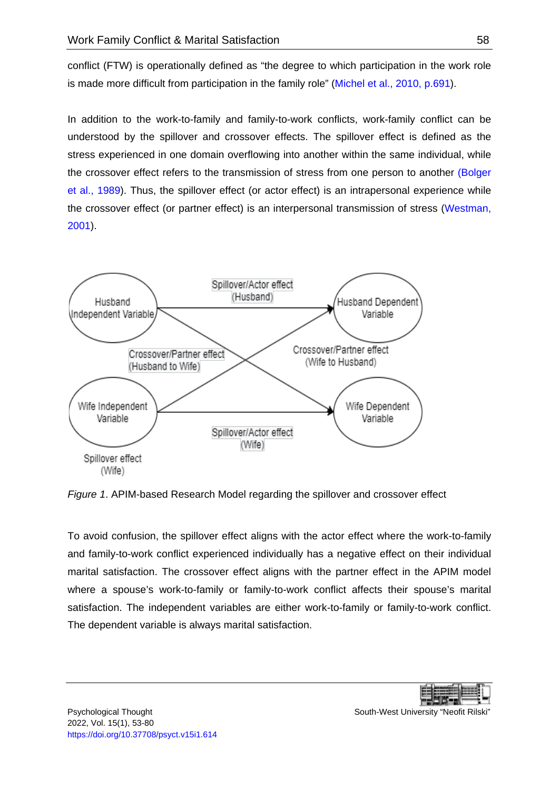conflict (FTW) is operationally defined as "the degree to which participation in the work role is made more difficult from participation in the family role" [\(Michel et al., 2010, p.691\)](#page-24-4).

In addition to the work-to-family and family-to-work conflicts, work-family conflict can be understood by the spillover and crossover effects. The spillover effect is defined as the stress experienced in one domain overflowing into another within the same individual, while the crossover effect refers to the transmission of stress from one person to another [\(Bolger](#page-21-5)  [et al., 1989\)](#page-21-5). Thus, the spillover effect (or actor effect) is an intrapersonal experience while the crossover effect (or partner effect) is an interpersonal transmission of stress [\(Westman,](#page-26-8)  [2001\)](#page-26-8).



*Figure 1*. APIM-based Research Model regarding the spillover and crossover effect

To avoid confusion, the spillover effect aligns with the actor effect where the work-to-family and family-to-work conflict experienced individually has a negative effect on their individual marital satisfaction. The crossover effect aligns with the partner effect in the APIM model where a spouse's work-to-family or family-to-work conflict affects their spouse's marital satisfaction. The independent variables are either work-to-family or family-to-work conflict. The dependent variable is always marital satisfaction.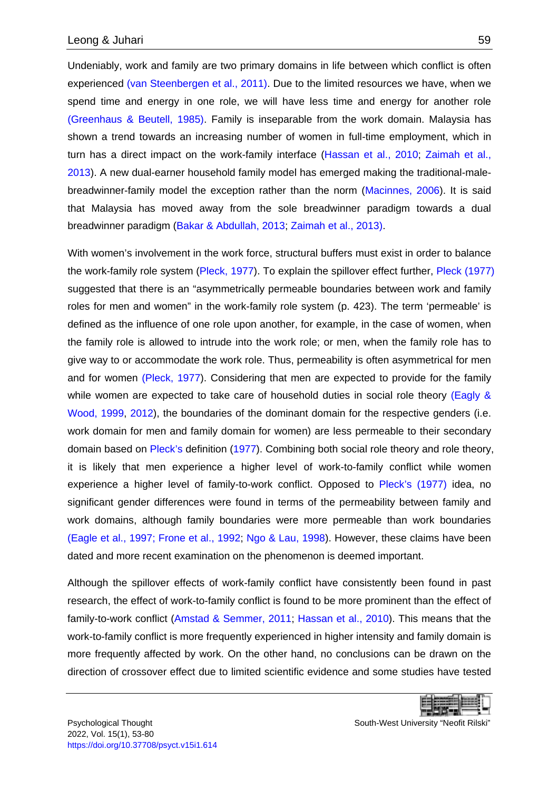Undeniably, work and family are two primary domains in life between which conflict is often experienced [\(van Steenbergen et al., 2011\).](#page-26-9) Due to the limited resources we have, when we spend time and energy in one role, we will have less time and energy for another role [\(Greenhaus & Beutell, 1985\).](#page-23-7) Family is inseparable from the work domain. Malaysia has shown a trend towards an increasing number of women in full-time employment, which in turn has a direct impact on the work-family interface [\(Hassan et al., 2010;](#page-23-3) [Zaimah et al.,](#page-26-3)  [2013\)](#page-26-3). A new dual-earner household family model has emerged making the traditional-malebreadwinner-family model the exception rather than the norm [\(Macinnes, 2006\)](#page-24-5). It is said that Malaysia has moved away from the sole breadwinner paradigm towards a dual breadwinner paradigm [\(Bakar & Abdullah, 2013;](#page-21-6) [Zaimah et al., 2013\).](#page-26-3)

With women's involvement in the work force, structural buffers must exist in order to balance the work-family role system [\(Pleck, 1977\)](#page-25-7). To explain the spillover effect further, [Pleck \(1977\)](#page-25-7) suggested that there is an "asymmetrically permeable boundaries between work and family roles for men and women" in the work-family role system (p. 423). The term 'permeable' is defined as the influence of one role upon another, for example, in the case of women, when the family role is allowed to intrude into the work role; or men, when the family role has to give way to or accommodate the work role. Thus, permeability is often asymmetrical for men and for women [\(Pleck, 1977\)](#page-25-7). Considering that men are expected to provide for the family while women are expected to take care of household duties in social role theory (Eagly & [Wood, 1999,](#page-22-4) [2012\)](#page-22-3), the boundaries of the dominant domain for the respective genders (i.e. work domain for men and family domain for women) are less permeable to their secondary domain based on [Pleck's](#page-25-7) definition [\(1977\)](#page-25-7). Combining both social role theory and role theory, it is likely that men experience a higher level of work-to-family conflict while women experience a higher level of family-to-work conflict. Opposed to [Pleck's \(1977\)](#page-25-7) idea, no significant gender differences were found in terms of the permeability between family and work domains, although family boundaries were more permeable than work boundaries [\(Eagle et al., 1997; Frone et al., 1992;](#page-22-7) [Ngo & Lau, 1998\)](#page-24-6). However, these claims have been dated and more recent examination on the phenomenon is deemed important.

Although the spillover effects of work-family conflict have consistently been found in past research, the effect of work-to-family conflict is found to be more prominent than the effect of family-to-work conflict [\(Amstad & Semmer, 2011;](#page-20-2) [Hassan et al., 2010\)](#page-23-3). This means that the work-to-family conflict is more frequently experienced in higher intensity and family domain is more frequently affected by work. On the other hand, no conclusions can be drawn on the direction of crossover effect due to limited scientific evidence and some studies have tested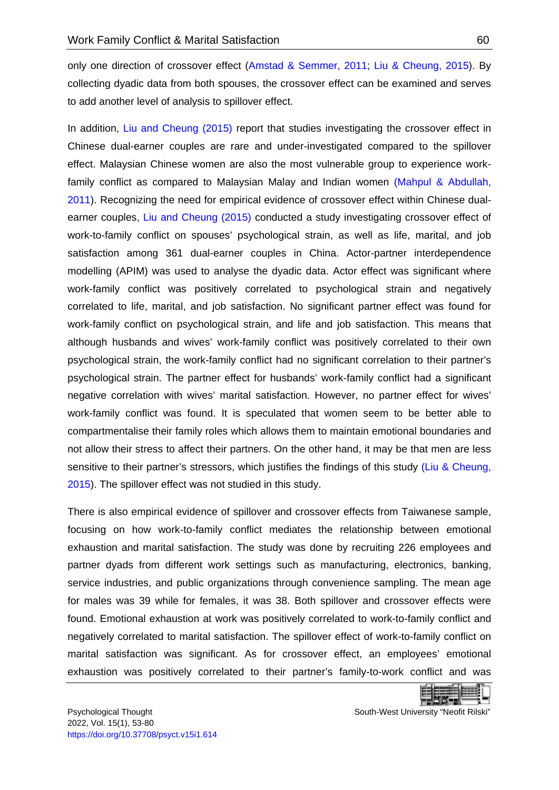only one direction of crossover effect [\(Amstad & Semmer, 2011;](#page-20-2) [Liu & Cheung, 2015\)](#page-24-7). By collecting dyadic data from both spouses, the crossover effect can be examined and serves to add another level of analysis to spillover effect.

In addition, [Liu and Cheung \(2015\)](#page-24-7) report that studies investigating the crossover effect in Chinese dual-earner couples are rare and under-investigated compared to the spillover effect. Malaysian Chinese women are also the most vulnerable group to experience workfamily conflict as compared to Malaysian Malay and Indian women [\(Mahpul & Abdullah,](#page-24-8)  [2011\)](#page-24-8). Recognizing the need for empirical evidence of crossover effect within Chinese dualearner couples, [Liu and Cheung \(2015\)](#page-24-7) conducted a study investigating crossover effect of work-to-family conflict on spouses' psychological strain, as well as life, marital, and job satisfaction among 361 dual-earner couples in China. Actor-partner interdependence modelling (APIM) was used to analyse the dyadic data. Actor effect was significant where work-family conflict was positively correlated to psychological strain and negatively correlated to life, marital, and job satisfaction. No significant partner effect was found for work-family conflict on psychological strain, and life and job satisfaction. This means that although husbands and wives' work-family conflict was positively correlated to their own psychological strain, the work-family conflict had no significant correlation to their partner's psychological strain. The partner effect for husbands' work-family conflict had a significant negative correlation with wives' marital satisfaction. However, no partner effect for wives' work-family conflict was found. It is speculated that women seem to be better able to compartmentalise their family roles which allows them to maintain emotional boundaries and not allow their stress to affect their partners. On the other hand, it may be that men are less sensitive to their partner's stressors, which justifies the findings of this study (Liu & Cheung, [2015\)](#page-24-7). The spillover effect was not studied in this study.

There is also empirical evidence of spillover and crossover effects from Taiwanese sample, focusing on how work-to-family conflict mediates the relationship between emotional exhaustion and marital satisfaction. The study was done by recruiting 226 employees and partner dyads from different work settings such as manufacturing, electronics, banking, service industries, and public organizations through convenience sampling. The mean age for males was 39 while for females, it was 38. Both spillover and crossover effects were found. Emotional exhaustion at work was positively correlated to work-to-family conflict and negatively correlated to marital satisfaction. The spillover effect of work-to-family conflict on marital satisfaction was significant. As for crossover effect, an employees' emotional exhaustion was positively correlated to their partner's family-to-work conflict and was

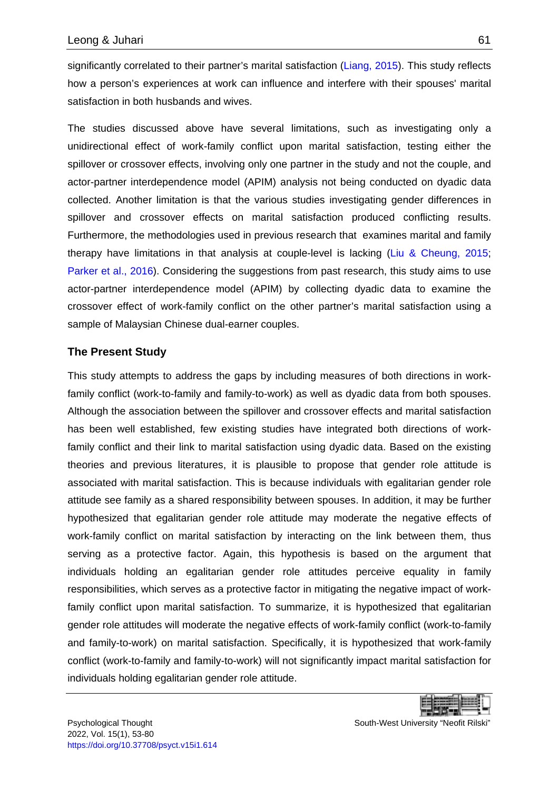significantly correlated to their partner's marital satisfaction [\(Liang, 2015\)](#page-24-9). This study reflects how a person's experiences at work can influence and interfere with their spouses' marital satisfaction in both husbands and wives.

The studies discussed above have several limitations, such as investigating only a unidirectional effect of work-family conflict upon marital satisfaction, testing either the spillover or crossover effects, involving only one partner in the study and not the couple, and actor-partner interdependence model (APIM) analysis not being conducted on dyadic data collected. Another limitation is that the various studies investigating gender differences in spillover and crossover effects on marital satisfaction produced conflicting results. Furthermore, the methodologies used in previous research that examines marital and family therapy have limitations in that analysis at couple-level is lacking [\(Liu & Cheung, 2015;](#page-24-7) [Parker et al., 2016\)](#page-25-8). Considering the suggestions from past research, this study aims to use actor-partner interdependence model (APIM) by collecting dyadic data to examine the crossover effect of work-family conflict on the other partner's marital satisfaction using a sample of Malaysian Chinese dual-earner couples.

#### **The Present Study**

This study attempts to address the gaps by including measures of both directions in workfamily conflict (work-to-family and family-to-work) as well as dyadic data from both spouses. Although the association between the spillover and crossover effects and marital satisfaction has been well established, few existing studies have integrated both directions of workfamily conflict and their link to marital satisfaction using dyadic data. Based on the existing theories and previous literatures, it is plausible to propose that gender role attitude is associated with marital satisfaction. This is because individuals with egalitarian gender role attitude see family as a shared responsibility between spouses. In addition, it may be further hypothesized that egalitarian gender role attitude may moderate the negative effects of work-family conflict on marital satisfaction by interacting on the link between them, thus serving as a protective factor. Again, this hypothesis is based on the argument that individuals holding an egalitarian gender role attitudes perceive equality in family responsibilities, which serves as a protective factor in mitigating the negative impact of workfamily conflict upon marital satisfaction. To summarize, it is hypothesized that egalitarian gender role attitudes will moderate the negative effects of work-family conflict (work-to-family and family-to-work) on marital satisfaction. Specifically, it is hypothesized that work-family conflict (work-to-family and family-to-work) will not significantly impact marital satisfaction for individuals holding egalitarian gender role attitude.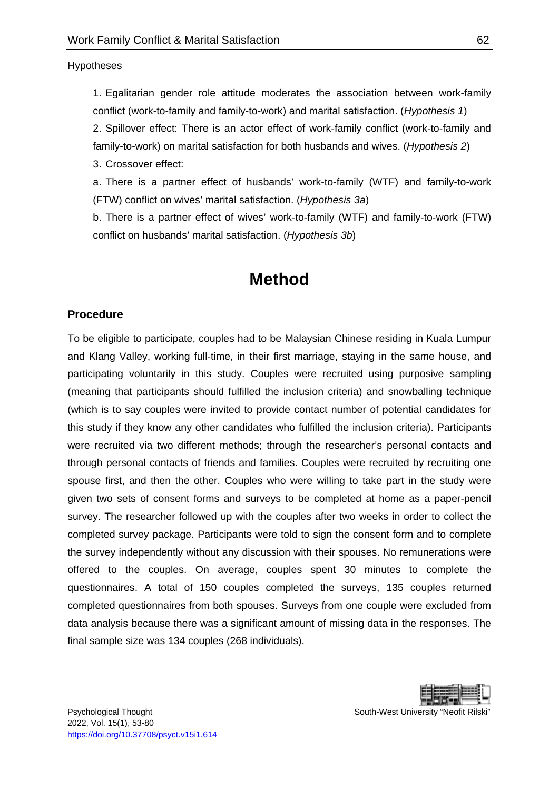Hypotheses

1. Egalitarian gender role attitude moderates the association between work-family conflict (work-to-family and family-to-work) and marital satisfaction. (*Hypothesis 1*)

2. Spillover effect: There is an actor effect of work-family conflict (work-to-family and family-to-work) on marital satisfaction for both husbands and wives. (*Hypothesis 2*)

3. Crossover effect:

a. There is a partner effect of husbands' work-to-family (WTF) and family-to-work (FTW) conflict on wives' marital satisfaction. (*Hypothesis 3a*)

b. There is a partner effect of wives' work-to-family (WTF) and family-to-work (FTW) conflict on husbands' marital satisfaction. (*Hypothesis 3b*)

## **Method**

#### <span id="page-9-0"></span>**Procedure**

To be eligible to participate, couples had to be Malaysian Chinese residing in Kuala Lumpur and Klang Valley, working full-time, in their first marriage, staying in the same house, and participating voluntarily in this study. Couples were recruited using purposive sampling (meaning that participants should fulfilled the inclusion criteria) and snowballing technique (which is to say couples were invited to provide contact number of potential candidates for this study if they know any other candidates who fulfilled the inclusion criteria). Participants were recruited via two different methods; through the researcher's personal contacts and through personal contacts of friends and families. Couples were recruited by recruiting one spouse first, and then the other. Couples who were willing to take part in the study were given two sets of consent forms and surveys to be completed at home as a paper-pencil survey. The researcher followed up with the couples after two weeks in order to collect the completed survey package. Participants were told to sign the consent form and to complete the survey independently without any discussion with their spouses. No remunerations were offered to the couples. On average, couples spent 30 minutes to complete the questionnaires. A total of 150 couples completed the surveys, 135 couples returned completed questionnaires from both spouses. Surveys from one couple were excluded from data analysis because there was a significant amount of missing data in the responses. The final sample size was 134 couples (268 individuals).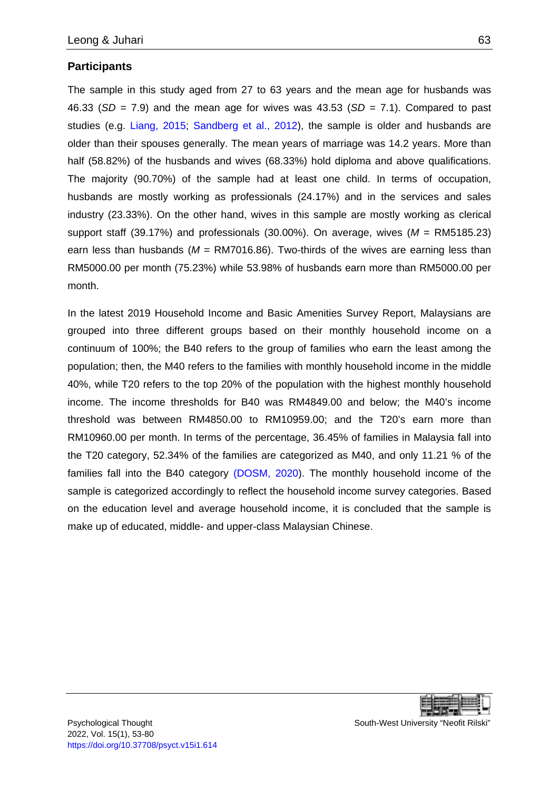#### **Participants**

The sample in this study aged from 27 to 63 years and the mean age for husbands was 46.33 (*SD* = 7.9) and the mean age for wives was 43.53 (*SD* = 7.1). Compared to past studies (e.g. [Liang, 2015;](#page-24-9) [Sandberg et al., 2012\)](#page-26-10), the sample is older and husbands are older than their spouses generally. The mean years of marriage was 14.2 years. More than half (58.82%) of the husbands and wives (68.33%) hold diploma and above qualifications. The majority (90.70%) of the sample had at least one child. In terms of occupation, husbands are mostly working as professionals (24.17%) and in the services and sales industry (23.33%). On the other hand, wives in this sample are mostly working as clerical support staff (39.17%) and professionals (30.00%). On average, wives (*M* = RM5185.23) earn less than husbands ( $M = RM7016.86$ ). Two-thirds of the wives are earning less than RM5000.00 per month (75.23%) while 53.98% of husbands earn more than RM5000.00 per month.

In the latest 2019 Household Income and Basic Amenities Survey Report, Malaysians are grouped into three different groups based on their monthly household income on a continuum of 100%; the B40 refers to the group of families who earn the least among the population; then, the M40 refers to the families with monthly household income in the middle 40%, while T20 refers to the top 20% of the population with the highest monthly household income. The income thresholds for B40 was RM4849.00 and below; the M40's income threshold was between RM4850.00 to RM10959.00; and the T20's earn more than RM10960.00 per month. In terms of the percentage, 36.45% of families in Malaysia fall into the T20 category, 52.34% of the families are categorized as M40, and only 11.21 % of the families fall into the B40 category [\(DOSM, 2020\)](#page-22-8). The monthly household income of the sample is categorized accordingly to reflect the household income survey categories. Based on the education level and average household income, it is concluded that the sample is make up of educated, middle- and upper-class Malaysian Chinese.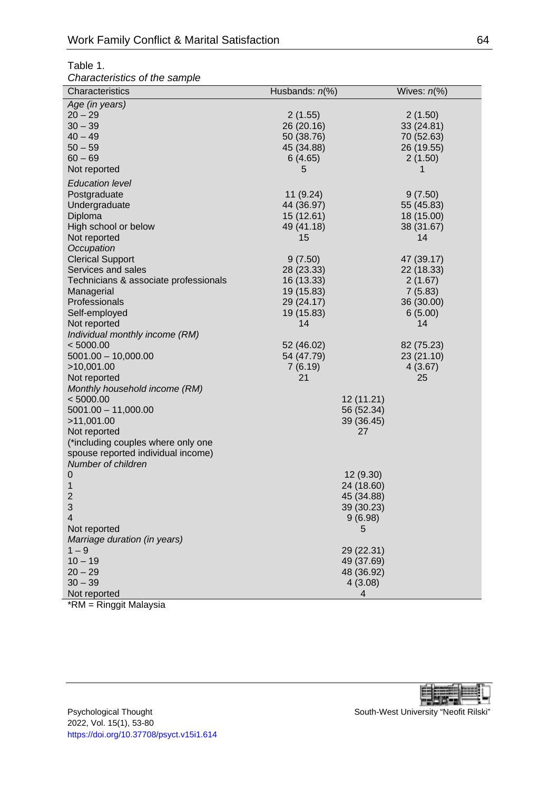#### Table 1.

*Characteristics of the sample*

| Characteristics                       | Husbands: $n\ll 0$ | Wives: $n\%$ ) |
|---------------------------------------|--------------------|----------------|
| Age (in years)                        |                    |                |
| $20 - 29$                             | 2(1.55)            | 2(1.50)        |
| $30 - 39$                             | 26 (20.16)         | 33 (24.81)     |
| $40 - 49$                             | 50 (38.76)         | 70 (52.63)     |
| $50 - 59$                             | 45 (34.88)         | 26 (19.55)     |
| $60 - 69$                             | 6(4.65)            | 2(1.50)        |
| Not reported                          | 5                  |                |
| <b>Education level</b>                |                    |                |
| Postgraduate                          | 11 (9.24)          | 9(7.50)        |
| Undergraduate                         | 44 (36.97)         | 55 (45.83)     |
| Diploma                               | 15 (12.61)         | 18 (15.00)     |
| High school or below                  | 49 (41.18)         | 38 (31.67)     |
| Not reported                          | 15                 | 14             |
| Occupation                            |                    |                |
| <b>Clerical Support</b>               | 9(7.50)            | 47 (39.17)     |
| Services and sales                    | 28 (23.33)         | 22 (18.33)     |
| Technicians & associate professionals | 16 (13.33)         | 2(1.67)        |
| Managerial                            | 19 (15.83)         | 7(5.83)        |
| Professionals                         | 29 (24.17)         | 36 (30.00)     |
| Self-employed                         | 19 (15.83)         | 6(5.00)        |
| Not reported                          | 14                 | 14             |
| Individual monthly income (RM)        |                    |                |
| < 5000.00                             | 52 (46.02)         | 82 (75.23)     |
| $5001.00 - 10,000.00$                 | 54 (47.79)         | 23 (21.10)     |
| >10,001.00                            | 7(6.19)            | 4(3.67)        |
| Not reported                          | 21                 | 25             |
| Monthly household income (RM)         |                    |                |
| < 5000.00                             | 12 (11.21)         |                |
| $5001.00 - 11,000.00$                 | 56 (52.34)         |                |
| >11,001.00                            | 39 (36.45)         |                |
| Not reported                          | 27                 |                |
| (*including couples where only one    |                    |                |
| spouse reported individual income)    |                    |                |
| Number of children                    |                    |                |
| $\boldsymbol{0}$                      | 12 (9.30)          |                |
| 1                                     | 24 (18.60)         |                |
| $\overline{2}$                        | 45 (34.88)         |                |
| 3                                     | 39 (30.23)         |                |
| 4                                     | 9(6.98)            |                |
| Not reported                          | 5                  |                |
| Marriage duration (in years)          |                    |                |
| $1 - 9$                               | 29 (22.31)         |                |
| $10 - 19$                             | 49 (37.69)         |                |
| $20 - 29$                             | 48 (36.92)         |                |
| $30 - 39$                             | 4(3.08)            |                |
| Not reported                          | 4                  |                |

\*RM = Ringgit Malaysia

厓 в

Psychological Thought New South-West University "Neofit Rilski" 2022, Vol. 15(1), 53-80 <https://doi.org/10.37708/psyct.v15i1.614>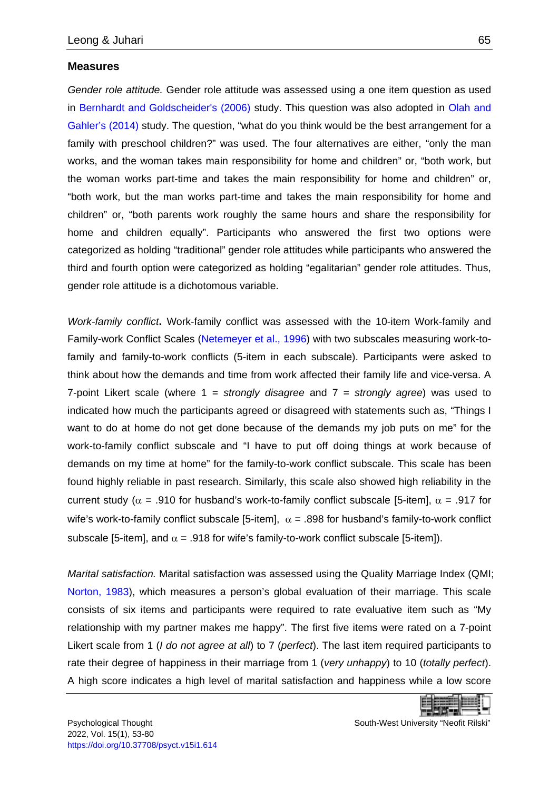#### **Measures**

*Gender role attitude.* Gender role attitude was assessed using a one item question as used in [Bernhardt and Goldscheider's \(2006\)](#page-21-7) study. This question was also adopted in [Olah and](#page-25-6)  [Gahler's \(2014\)](#page-25-6) study. The question, "what do you think would be the best arrangement for a family with preschool children?" was used. The four alternatives are either, "only the man works, and the woman takes main responsibility for home and children" or, "both work, but the woman works part-time and takes the main responsibility for home and children" or, "both work, but the man works part-time and takes the main responsibility for home and children" or, "both parents work roughly the same hours and share the responsibility for home and children equally". Participants who answered the first two options were categorized as holding "traditional" gender role attitudes while participants who answered the third and fourth option were categorized as holding "egalitarian" gender role attitudes. Thus, gender role attitude is a dichotomous variable.

*Work-family conflict***.** Work-family conflict was assessed with the 10-item Work-family and Family-work Conflict Scales [\(Netemeyer et al., 1996\)](#page-24-10) with two subscales measuring work-tofamily and family-to-work conflicts (5-item in each subscale). Participants were asked to think about how the demands and time from work affected their family life and vice-versa. A 7-point Likert scale (where 1 = *strongly disagree* and 7 = *strongly agree*) was used to indicated how much the participants agreed or disagreed with statements such as, "Things I want to do at home do not get done because of the demands my job puts on me" for the work-to-family conflict subscale and "I have to put off doing things at work because of demands on my time at home" for the family-to-work conflict subscale. This scale has been found highly reliable in past research. Similarly, this scale also showed high reliability in the current study ( $\alpha$  = .910 for husband's work-to-family conflict subscale [5-item],  $\alpha$  = .917 for wife's work-to-family conflict subscale [5-item],  $\alpha$  = .898 for husband's family-to-work conflict subscale [5-item], and  $\alpha$  = .918 for wife's family-to-work conflict subscale [5-item]).

*Marital satisfaction.* Marital satisfaction was assessed using the Quality Marriage Index (QMI; [Norton, 1983\)](#page-25-9), which measures a person's global evaluation of their marriage. This scale consists of six items and participants were required to rate evaluative item such as "My relationship with my partner makes me happy". The first five items were rated on a 7-point Likert scale from 1 (*I do not agree at all*) to 7 (*perfect*). The last item required participants to rate their degree of happiness in their marriage from 1 (*very unhappy*) to 10 (*totally perfect*). A high score indicates a high level of marital satisfaction and happiness while a low score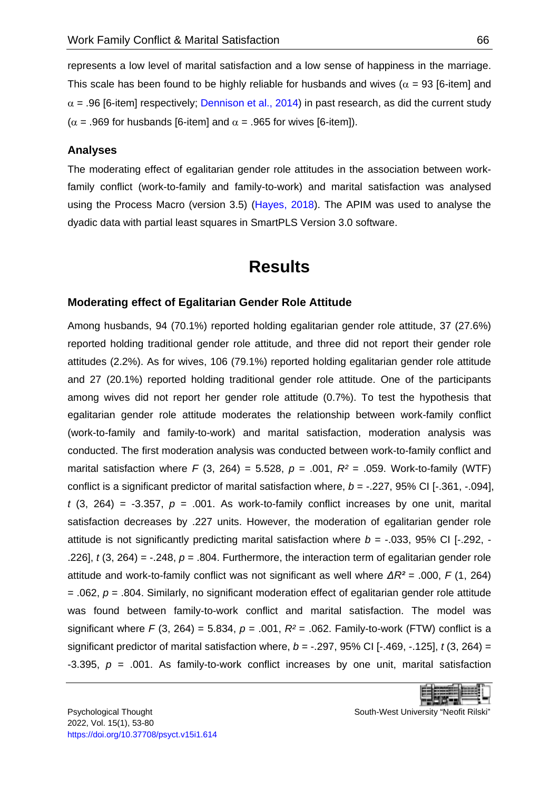represents a low level of marital satisfaction and a low sense of happiness in the marriage. This scale has been found to be highly reliable for husbands and wives ( $\alpha$  = 93 [6-item] and  $\alpha$  = .96 [6-item] respectively; [Dennison et al., 2014\)](#page-21-8) in past research, as did the current study ( $\alpha$  = .969 for husbands [6-item] and  $\alpha$  = .965 for wives [6-item]).

#### **Analyses**

The moderating effect of egalitarian gender role attitudes in the association between workfamily conflict (work-to-family and family-to-work) and marital satisfaction was analysed using the Process Macro (version 3.5) [\(Hayes, 2018\)](#page-23-8). The APIM was used to analyse the dyadic data with partial least squares in SmartPLS Version 3.0 software.

## **Results**

#### <span id="page-13-0"></span>**Moderating effect of Egalitarian Gender Role Attitude**

Among husbands, 94 (70.1%) reported holding egalitarian gender role attitude, 37 (27.6%) reported holding traditional gender role attitude, and three did not report their gender role attitudes (2.2%). As for wives, 106 (79.1%) reported holding egalitarian gender role attitude and 27 (20.1%) reported holding traditional gender role attitude. One of the participants among wives did not report her gender role attitude (0.7%). To test the hypothesis that egalitarian gender role attitude moderates the relationship between work-family conflict (work-to-family and family-to-work) and marital satisfaction, moderation analysis was conducted. The first moderation analysis was conducted between work-to-family conflict and marital satisfaction where  $F$  (3, 264) = 5.528,  $p = .001$ ,  $R^2 = .059$ . Work-to-family (WTF) conflict is a significant predictor of marital satisfaction where, *b* = -.227, 95% CI [-.361, -.094],  $t$  (3, 264) =  $-3.357$ ,  $p = .001$ . As work-to-family conflict increases by one unit, marital satisfaction decreases by .227 units. However, the moderation of egalitarian gender role attitude is not significantly predicting marital satisfaction where  $b = -0.033$ , 95% CI [ $-292$ ,  $-$ .226],  $t$  (3, 264) =  $-248$ ,  $p = .804$ . Furthermore, the interaction term of egalitarian gender role attitude and work-to-family conflict was not significant as well where *ΔR²* = .000, *F* (1, 264) = .062, *p* = .804. Similarly, no significant moderation effect of egalitarian gender role attitude was found between family-to-work conflict and marital satisfaction. The model was significant where *F* (3, 264) = 5.834, *p* = .001, *R²* = .062. Family-to-work (FTW) conflict is a significant predictor of marital satisfaction where, *b* = -.297, 95% CI [-.469, -.125], *t* (3, 264) = -3.395,  $p = .001$ . As family-to-work conflict increases by one unit, marital satisfaction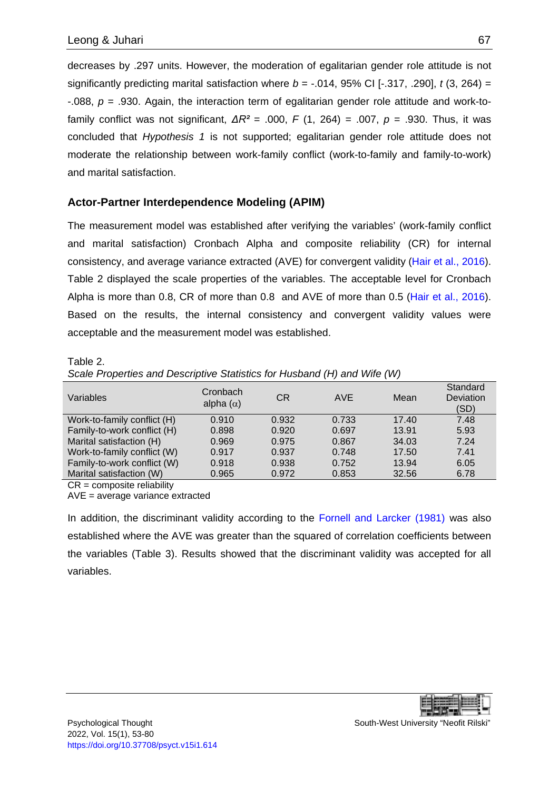decreases by .297 units. However, the moderation of egalitarian gender role attitude is not significantly predicting marital satisfaction where  $b = -0.014$ , 95% CI [ $-0.317$ , .290], *t* (3, 264) = -.088, *p* = .930. Again, the interaction term of egalitarian gender role attitude and work-tofamily conflict was not significant, *ΔR²* = .000, *F* (1, 264) = .007, *p* = .930. Thus, it was concluded that *Hypothesis 1* is not supported; egalitarian gender role attitude does not moderate the relationship between work-family conflict (work-to-family and family-to-work) and marital satisfaction.

#### **Actor-Partner Interdependence Modeling (APIM)**

The measurement model was established after verifying the variables' (work-family conflict and marital satisfaction) Cronbach Alpha and composite reliability (CR) for internal consistency, and average variance extracted (AVE) for convergent validity [\(Hair et al., 2016\)](#page-23-9). Table 2 displayed the scale properties of the variables. The acceptable level for Cronbach Alpha is more than 0.8, CR of more than 0.8 and AVE of more than 0.5 [\(Hair et al., 2016\)](#page-23-9). Based on the results, the internal consistency and convergent validity values were acceptable and the measurement model was established.

### Table 2. *Scale Properties and Descriptive Statistics for Husband (H) and Wife (W)*

| Variables                   | Cronbach<br>alpha $(\alpha)$ | C <sub>R</sub> | <b>AVE</b> | Mean  | Standard<br>Deviation<br>(SD) |
|-----------------------------|------------------------------|----------------|------------|-------|-------------------------------|
| Work-to-family conflict (H) | 0.910                        | 0.932          | 0.733      | 17.40 | 7.48                          |
| Family-to-work conflict (H) | 0.898                        | 0.920          | 0.697      | 13.91 | 5.93                          |
| Marital satisfaction (H)    | 0.969                        | 0.975          | 0.867      | 34.03 | 7.24                          |
| Work-to-family conflict (W) | 0.917                        | 0.937          | 0.748      | 17.50 | 7.41                          |
| Family-to-work conflict (W) | 0.918                        | 0.938          | 0.752      | 13.94 | 6.05                          |
| Marital satisfaction (W)    | 0.965                        | 0.972          | 0.853      | 32.56 | 6.78                          |

CR = composite reliability

AVE = average variance extracted

In addition, the discriminant validity according to the [Fornell and Larcker \(1981\)](#page-22-9) was also established where the AVE was greater than the squared of correlation coefficients between the variables (Table 3). Results showed that the discriminant validity was accepted for all variables.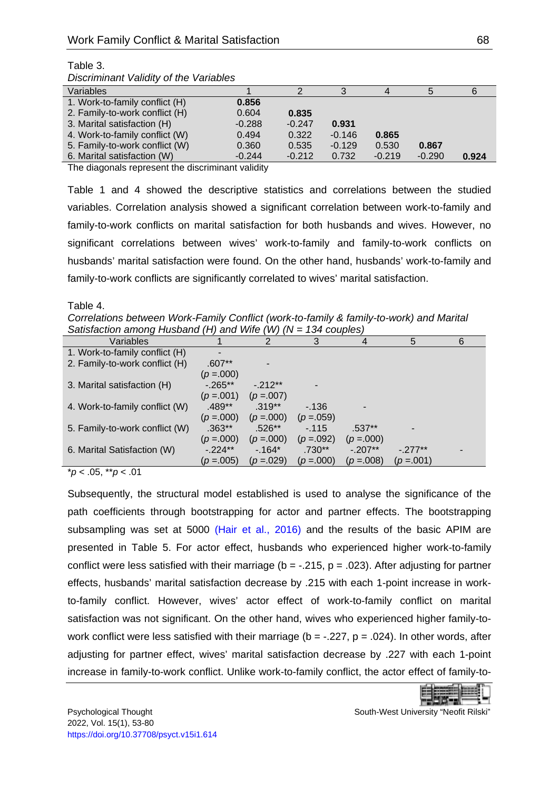| Discriminant validity of the variables |          |          |          |          |          |       |
|----------------------------------------|----------|----------|----------|----------|----------|-------|
| Variables                              |          |          | 3        |          |          |       |
| 1. Work-to-family conflict (H)         | 0.856    |          |          |          |          |       |
| 2. Family-to-work conflict (H)         | 0.604    | 0.835    |          |          |          |       |
| 3. Marital satisfaction (H)            | $-0.288$ | $-0.247$ | 0.931    |          |          |       |
| 4. Work-to-family conflict (W)         | 0.494    | 0.322    | $-0.146$ | 0.865    |          |       |
| 5. Family-to-work conflict (W)         | 0.360    | 0.535    | $-0.129$ | 0.530    | 0.867    |       |
| 6. Marital satisfaction (W)            | $-0.244$ | $-0.212$ | 0.732    | $-0.219$ | $-0.290$ | 0.924 |

#### Table 3. *Discriminant Validity of the Variables*

The diagonals represent the discriminant validity

Table 1 and 4 showed the descriptive statistics and correlations between the studied variables. Correlation analysis showed a significant correlation between work-to-family and family-to-work conflicts on marital satisfaction for both husbands and wives. However, no significant correlations between wives' work-to-family and family-to-work conflicts on husbands' marital satisfaction were found. On the other hand, husbands' work-to-family and family-to-work conflicts are significantly correlated to wives' marital satisfaction.

Table 4.

*Correlations between Work-Family Conflict (work-to-family & family-to-work) and Marital Satisfaction among Husband (H) and Wife (W) (N = 134 couples)*

| Variables                      |               | 2             | 3             |               | 5             | 6 |
|--------------------------------|---------------|---------------|---------------|---------------|---------------|---|
| 1. Work-to-family conflict (H) |               |               |               |               |               |   |
| 2. Family-to-work conflict (H) | $.607**$      |               |               |               |               |   |
|                                | $(p=.000)$    |               |               |               |               |   |
| 3. Marital satisfaction (H)    | $-0.265**$    | $-212**$      |               |               |               |   |
|                                | $(p=.001)$    | $(p = 0.007)$ |               |               |               |   |
| 4. Work-to-family conflict (W) | $.489**$      | $.319**$      | $-136$        |               |               |   |
|                                | $(p=.000)$    | $(p=.000)$    | $(p=.059)$    |               |               |   |
| 5. Family-to-work conflict (W) | $.363**$      | $.526**$      | $-115$        | $.537**$      |               |   |
|                                | $(p=.000)$    | $(p = .000)$  | $(p = 0.092)$ | $(p = 0.000)$ |               |   |
| 6. Marital Satisfaction (W)    | $-224**$      | $-164*$       | $.730**$      | $-.207**$     | $-277**$      |   |
|                                | $(p = 0.005)$ | $(p=.029)$    | $(p = 000)$   | $(p = 008)$   | $(p = 0.001)$ |   |

\**p* < .05, \*\**p* < .01

Subsequently, the structural model established is used to analyse the significance of the path coefficients through bootstrapping for actor and partner effects. The bootstrapping subsampling was set at 5000 [\(Hair et al., 2016\)](#page-23-9) and the results of the basic APIM are presented in Table 5. For actor effect, husbands who experienced higher work-to-family conflict were less satisfied with their marriage ( $b = -0.215$ ,  $p = 0.023$ ). After adjusting for partner effects, husbands' marital satisfaction decrease by .215 with each 1-point increase in workto-family conflict. However, wives' actor effect of work-to-family conflict on marital satisfaction was not significant. On the other hand, wives who experienced higher family-towork conflict were less satisfied with their marriage ( $b = -0.227$ ,  $p = 0.024$ ). In other words, after adjusting for partner effect, wives' marital satisfaction decrease by .227 with each 1-point increase in family-to-work conflict. Unlike work-to-family conflict, the actor effect of family-to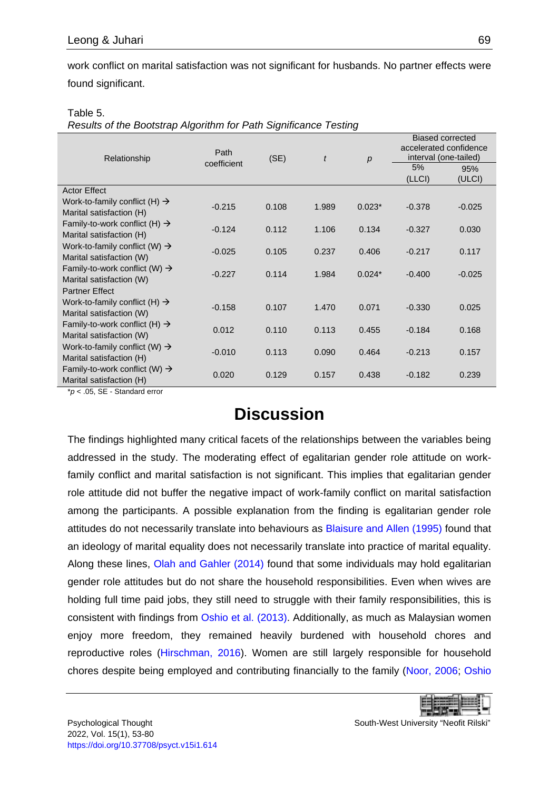work conflict on marital satisfaction was not significant for husbands. No partner effects were found significant.

| Table 5. |  |
|----------|--|
|          |  |

*Results of the Bootstrap Algorithm for Path Significance Testing*

| Relationship                                                          | Path        | (SE)  | $\mathfrak{t}$ | p        | <b>Biased corrected</b><br>accelerated confidence<br>interval (one-tailed) |          |
|-----------------------------------------------------------------------|-------------|-------|----------------|----------|----------------------------------------------------------------------------|----------|
|                                                                       | coefficient |       |                |          | 5%                                                                         | 95%      |
|                                                                       |             |       |                |          | (LLCI)                                                                     | (ULCI)   |
| <b>Actor Effect</b>                                                   |             |       |                |          |                                                                            |          |
| Work-to-family conflict (H) $\rightarrow$<br>Marital satisfaction (H) | $-0.215$    | 0.108 | 1.989          | $0.023*$ | $-0.378$                                                                   | $-0.025$ |
| Family-to-work conflict (H) $\rightarrow$<br>Marital satisfaction (H) | $-0.124$    | 0.112 | 1.106          | 0.134    | $-0.327$                                                                   | 0.030    |
| Work-to-family conflict (W) $\rightarrow$<br>Marital satisfaction (W) | $-0.025$    | 0.105 | 0.237          | 0.406    | $-0.217$                                                                   | 0.117    |
| Family-to-work conflict (W) $\rightarrow$<br>Marital satisfaction (W) | $-0.227$    | 0.114 | 1.984          | $0.024*$ | $-0.400$                                                                   | $-0.025$ |
| <b>Partner Effect</b>                                                 |             |       |                |          |                                                                            |          |
| Work-to-family conflict (H) $\rightarrow$<br>Marital satisfaction (W) | $-0.158$    | 0.107 | 1.470          | 0.071    | $-0.330$                                                                   | 0.025    |
| Family-to-work conflict (H) $\rightarrow$<br>Marital satisfaction (W) | 0.012       | 0.110 | 0.113          | 0.455    | $-0.184$                                                                   | 0.168    |
| Work-to-family conflict (W) $\rightarrow$<br>Marital satisfaction (H) | $-0.010$    | 0.113 | 0.090          | 0.464    | $-0.213$                                                                   | 0.157    |
| Family-to-work conflict (W) $\rightarrow$<br>Marital satisfaction (H) | 0.020       | 0.129 | 0.157          | 0.438    | $-0.182$                                                                   | 0.239    |

<span id="page-16-0"></span>\**p* < .05, SE - Standard error

## **Discussion**

The findings highlighted many critical facets of the relationships between the variables being addressed in the study. The moderating effect of egalitarian gender role attitude on workfamily conflict and marital satisfaction is not significant. This implies that egalitarian gender role attitude did not buffer the negative impact of work-family conflict on marital satisfaction among the participants. A possible explanation from the finding is egalitarian gender role attitudes do not necessarily translate into behaviours as [Blaisure and Allen \(1995\)](#page-21-9) found that an ideology of marital equality does not necessarily translate into practice of marital equality. Along these lines, [Olah and Gahler \(2014\)](#page-25-6) found that some individuals may hold egalitarian gender role attitudes but do not share the household responsibilities. Even when wives are holding full time paid jobs, they still need to struggle with their family responsibilities, this is consistent with findings from [Oshio et al. \(2013\).](#page-25-5) Additionally, as much as Malaysian women enjoy more freedom, they remained heavily burdened with household chores and reproductive roles [\(Hirschman, 2016\)](#page-23-10). Women are still largely responsible for household chores despite being employed and contributing financially to the family [\(Noor, 2006;](#page-25-10) [Oshio](#page-25-5)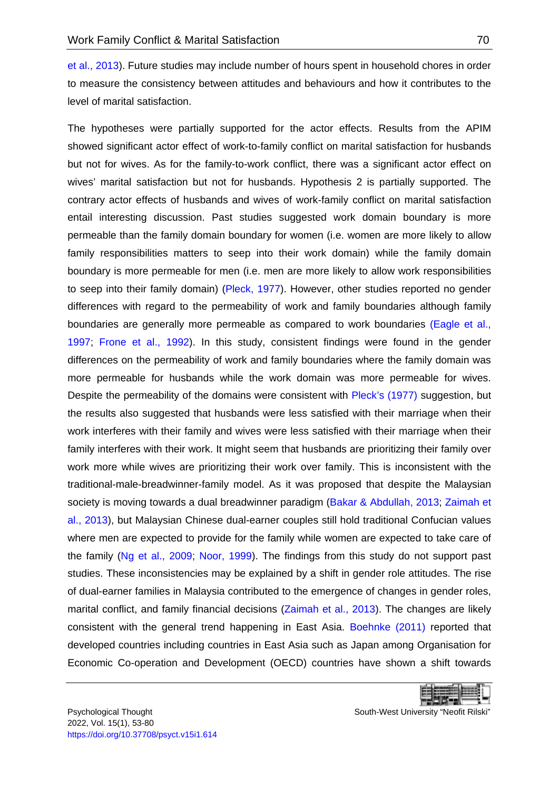et al., 2013). Future studies may include number of hours spent in household chores in order to measure the consistency between attitudes and behaviours and how it contributes to the level of marital satisfaction.

The hypotheses were partially supported for the actor effects. Results from the APIM showed significant actor effect of work-to-family conflict on marital satisfaction for husbands but not for wives. As for the family-to-work conflict, there was a significant actor effect on wives' marital satisfaction but not for husbands. Hypothesis 2 is partially supported. The contrary actor effects of husbands and wives of work-family conflict on marital satisfaction entail interesting discussion. Past studies suggested work domain boundary is more permeable than the family domain boundary for women (i.e. women are more likely to allow family responsibilities matters to seep into their work domain) while the family domain boundary is more permeable for men (i.e. men are more likely to allow work responsibilities to seep into their family domain) [\(Pleck, 1977\)](#page-25-7). However, other studies reported no gender differences with regard to the permeability of work and family boundaries although family boundaries are generally more permeable as compared to work boundaries (Eagle et al., [1997;](#page-22-10) [Frone et al., 1992\)](#page-22-7). In this study, consistent findings were found in the gender differences on the permeability of work and family boundaries where the family domain was more permeable for husbands while the work domain was more permeable for wives. Despite the permeability of the domains were consistent with [Pleck's \(1977\)](#page-25-7) suggestion, but the results also suggested that husbands were less satisfied with their marriage when their work interferes with their family and wives were less satisfied with their marriage when their family interferes with their work. It might seem that husbands are prioritizing their family over work more while wives are prioritizing their work over family. This is inconsistent with the traditional-male-breadwinner-family model. As it was proposed that despite the Malaysian society is moving towards a dual breadwinner paradigm [\(Bakar & Abdullah, 2013;](#page-21-6) Zaimah et [al., 2013\)](#page-26-3), but Malaysian Chinese dual-earner couples still hold traditional Confucian values where men are expected to provide for the family while women are expected to take care of the family [\(Ng et al., 2009;](#page-24-2) [Noor, 1999\)](#page-25-3). The findings from this study do not support past studies. These inconsistencies may be explained by a shift in gender role attitudes. The rise of dual-earner families in Malaysia contributed to the emergence of changes in gender roles, marital conflict, and family financial decisions [\(Zaimah et al., 2013\)](#page-26-3). The changes are likely consistent with the general trend happening in East Asia. [Boehnke \(2011\)](#page-21-10) reported that developed countries including countries in East Asia such as Japan among Organisation for Economic Co-operation and Development (OECD) countries have shown a shift towards

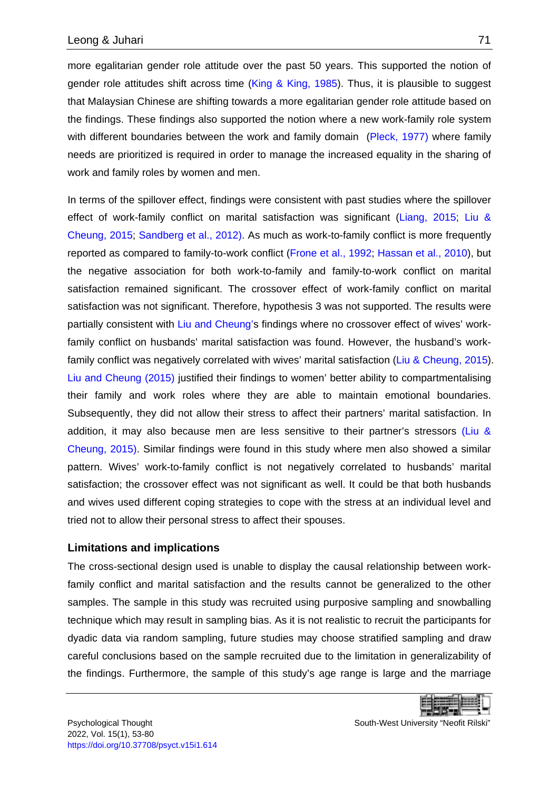more egalitarian gender role attitude over the past 50 years. This supported the notion of gender role attitudes shift across time [\(King & King, 1985\)](#page-23-11). Thus, it is plausible to suggest that Malaysian Chinese are shifting towards a more egalitarian gender role attitude based on the findings. These findings also supported the notion where a new work-family role system with different boundaries between the work and family domain [\(Pleck, 1977\)](#page-25-7) where family needs are prioritized is required in order to manage the increased equality in the sharing of work and family roles by women and men.

In terms of the spillover effect, findings were consistent with past studies where the spillover effect of work-family conflict on marital satisfaction was significant [\(Liang, 2015;](#page-24-9) [Liu &](#page-24-7)  [Cheung, 2015;](#page-24-7) [Sandberg et al., 2012\).](#page-26-10) As much as work-to-family conflict is more frequently reported as compared to family-to-work conflict [\(Frone et al., 1992;](#page-22-7) [Hassan et al., 2010\)](#page-23-3), but the negative association for both work-to-family and family-to-work conflict on marital satisfaction remained significant. The crossover effect of work-family conflict on marital satisfaction was not significant. Therefore, hypothesis 3 was not supported. The results were partially consistent with [Liu and Cheung's](#page-24-7) findings where no crossover effect of wives' workfamily conflict on husbands' marital satisfaction was found. However, the husband's work-family conflict was negatively correlated with wives' marital satisfaction [\(Liu & Cheung, 2015\)](#page-24-7). [Liu and Cheung \(2015\)](#page-24-7) justified their findings to women' better ability to compartmentalising their family and work roles where they are able to maintain emotional boundaries. Subsequently, they did not allow their stress to affect their partners' marital satisfaction. In addition, it may also because men are less sensitive to their partner's stressors [\(Liu &](#page-24-7)  Cheung, 2015). Similar findings were found in this study where men also showed a similar pattern. Wives' work-to-family conflict is not negatively correlated to husbands' marital satisfaction; the crossover effect was not significant as well. It could be that both husbands and wives used different coping strategies to cope with the stress at an individual level and tried not to allow their personal stress to affect their spouses.

#### **Limitations and implications**

The cross-sectional design used is unable to display the causal relationship between workfamily conflict and marital satisfaction and the results cannot be generalized to the other samples. The sample in this study was recruited using purposive sampling and snowballing technique which may result in sampling bias. As it is not realistic to recruit the participants for dyadic data via random sampling, future studies may choose stratified sampling and draw careful conclusions based on the sample recruited due to the limitation in generalizability of the findings. Furthermore, the sample of this study's age range is large and the marriage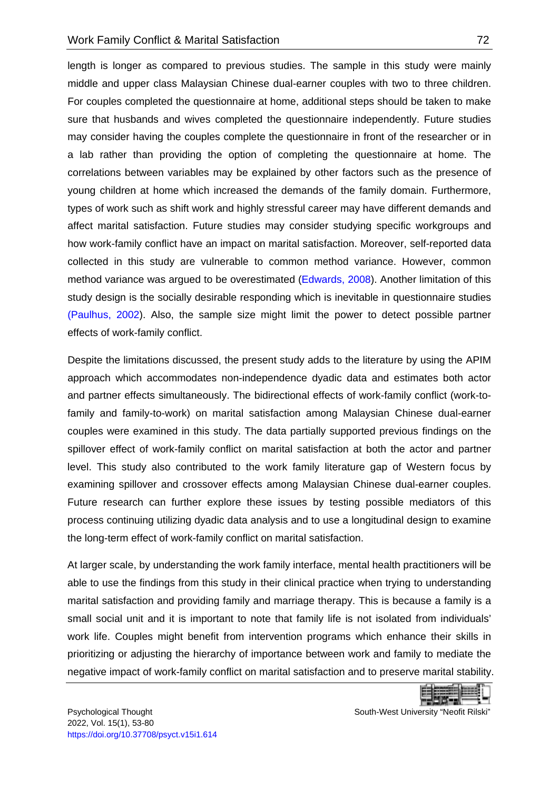length is longer as compared to previous studies. The sample in this study were mainly middle and upper class Malaysian Chinese dual-earner couples with two to three children. For couples completed the questionnaire at home, additional steps should be taken to make sure that husbands and wives completed the questionnaire independently. Future studies may consider having the couples complete the questionnaire in front of the researcher or in a lab rather than providing the option of completing the questionnaire at home. The correlations between variables may be explained by other factors such as the presence of young children at home which increased the demands of the family domain. Furthermore, types of work such as shift work and highly stressful career may have different demands and affect marital satisfaction. Future studies may consider studying specific workgroups and how work-family conflict have an impact on marital satisfaction. Moreover, self-reported data collected in this study are vulnerable to common method variance. However, common method variance was argued to be overestimated [\(Edwards, 2008\)](#page-22-11). Another limitation of this study design is the socially desirable responding which is inevitable in questionnaire studies [\(Paulhus, 2002\)](#page-25-11). Also, the sample size might limit the power to detect possible partner effects of work-family conflict.

Despite the limitations discussed, the present study adds to the literature by using the APIM approach which accommodates non-independence dyadic data and estimates both actor and partner effects simultaneously. The bidirectional effects of work-family conflict (work-tofamily and family-to-work) on marital satisfaction among Malaysian Chinese dual-earner couples were examined in this study. The data partially supported previous findings on the spillover effect of work-family conflict on marital satisfaction at both the actor and partner level. This study also contributed to the work family literature gap of Western focus by examining spillover and crossover effects among Malaysian Chinese dual-earner couples. Future research can further explore these issues by testing possible mediators of this process continuing utilizing dyadic data analysis and to use a longitudinal design to examine the long-term effect of work-family conflict on marital satisfaction.

At larger scale, by understanding the work family interface, mental health practitioners will be able to use the findings from this study in their clinical practice when trying to understanding marital satisfaction and providing family and marriage therapy. This is because a family is a small social unit and it is important to note that family life is not isolated from individuals' work life. Couples might benefit from intervention programs which enhance their skills in prioritizing or adjusting the hierarchy of importance between work and family to mediate the negative impact of work-family conflict on marital satisfaction and to preserve marital stability.

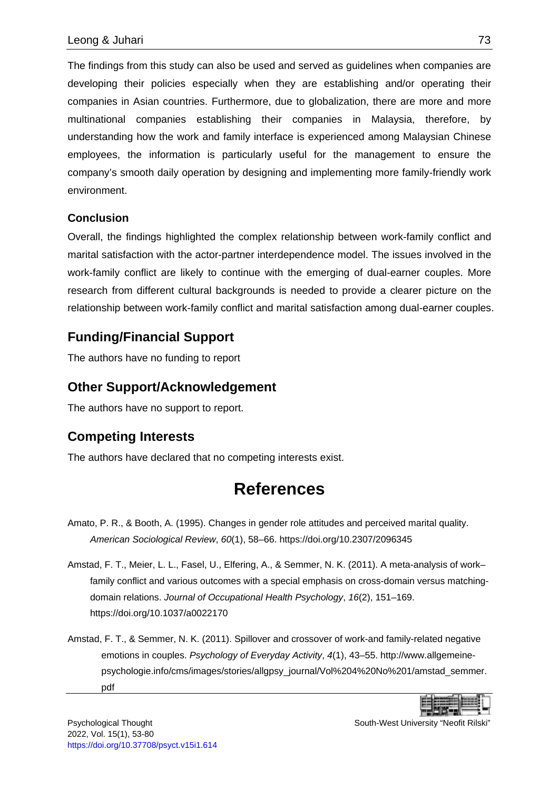The findings from this study can also be used and served as guidelines when companies are developing their policies especially when they are establishing and/or operating their companies in Asian countries. Furthermore, due to globalization, there are more and more multinational companies establishing their companies in Malaysia, therefore, by understanding how the work and family interface is experienced among Malaysian Chinese employees, the information is particularly useful for the management to ensure the company's smooth daily operation by designing and implementing more family-friendly work environment.

#### <span id="page-20-0"></span>**Conclusion**

Overall, the findings highlighted the complex relationship between work-family conflict and marital satisfaction with the actor-partner interdependence model. The issues involved in the work-family conflict are likely to continue with the emerging of dual-earner couples. More research from different cultural backgrounds is needed to provide a clearer picture on the relationship between work-family conflict and marital satisfaction among dual-earner couples.

### **Funding/Financial Support**

The authors have no funding to report

### **Other Support/Acknowledgement**

The authors have no support to report.

### **Competing Interests**

<span id="page-20-1"></span>The authors have declared that no competing interests exist.

## **References**

- <span id="page-20-3"></span>Amato, P. R., & Booth, A. (1995). Changes in gender role attitudes and perceived marital quality. *American Sociological Review*, *60*(1), 58–66.<https://doi.org/10.2307/2096345>
- <span id="page-20-4"></span>Amstad, F. T., Meier, L. L., Fasel, U., Elfering, A., & Semmer, N. K. (2011). A meta-analysis of work– family conflict and various outcomes with a special emphasis on cross-domain versus matchingdomain relations. *Journal of Occupational Health Psychology*, *16*(2), 151–169. [https://doi.org/10.1037/a0022170](https://doi.apa.org/doi/10.1037/a0022170)
- <span id="page-20-2"></span>Amstad, F. T., & Semmer, N. K. (2011). Spillover and crossover of work-and family-related negative emotions in couples. *Psychology of Everyday Activity*, *4*(1), 43–55. [http://www.allgemeine](http://www.allgemeine-psychologie.info/cms/images/stories/allgpsy_journal/Vol%204%20No%201/amstad_semmer.pdf)[psychologie.info/cms/images/stories/allgpsy\\_journal/Vol%204%20No%201/amstad\\_semmer.](http://www.allgemeine-psychologie.info/cms/images/stories/allgpsy_journal/Vol%204%20No%201/amstad_semmer.pdf) [pdf](http://www.allgemeine-psychologie.info/cms/images/stories/allgpsy_journal/Vol%204%20No%201/amstad_semmer.pdf)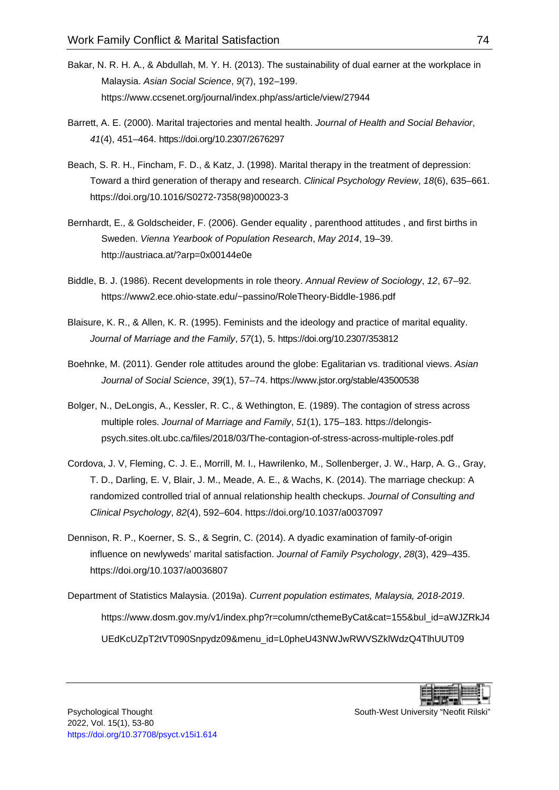- <span id="page-21-6"></span>Bakar, N. R. H. A., & Abdullah, M. Y. H. (2013). The sustainability of dual earner at the workplace in Malaysia. *Asian Social Science*, *9*(7), 192–199. <https://www.ccsenet.org/journal/index.php/ass/article/view/27944>
- <span id="page-21-1"></span>Barrett, A. E. (2000). Marital trajectories and mental health. *Journal of Health and Social Behavior*, *41*(4), 451–464.<https://doi.org/10.2307/2676297>
- <span id="page-21-2"></span>Beach, S. R. H., Fincham, F. D., & Katz, J. (1998). Marital therapy in the treatment of depression: Toward a third generation of therapy and research. *Clinical Psychology Review*, *18*(6), 635–661. [https://doi.org/10.1016/S0272-7358\(98\)00023-3](https://doi.org/10.1016/S0272-7358(98)00023-3)
- <span id="page-21-7"></span>Bernhardt, E., & Goldscheider, F. (2006). Gender equality , parenthood attitudes , and first births in Sweden. *Vienna Yearbook of Population Research*, *May 2014*, 19–39. <http://austriaca.at/?arp=0x00144e0e>
- <span id="page-21-4"></span>Biddle, B. J. (1986). Recent developments in role theory. *Annual Review of Sociology*, *12*, 67–92. [https://www2.ece.ohio-state.edu/~passino/RoleTheory-Biddle-1986.pdf](https://www2.ece.ohio-state.edu/%7Epassino/RoleTheory-Biddle-1986.pdf)
- <span id="page-21-9"></span>Blaisure, K. R., & Allen, K. R. (1995). Feminists and the ideology and practice of marital equality. *Journal of Marriage and the Family*, *57*(1), 5.<https://doi.org/10.2307/353812>
- <span id="page-21-10"></span>Boehnke, M. (2011). Gender role attitudes around the globe: Egalitarian vs. traditional views. *Asian Journal of Social Science*, *39*(1), 57–74.<https://www.jstor.org/stable/43500538>
- <span id="page-21-5"></span>Bolger, N., DeLongis, A., Kessler, R. C., & Wethington, E. (1989). The contagion of stress across multiple roles. *Journal of Marriage and Family*, *51*(1), 175–183. [https://delongis](https://delongis-psych.sites.olt.ubc.ca/files/2018/03/The-contagion-of-stress-across-multiple-roles.pdf)[psych.sites.olt.ubc.ca/files/2018/03/The-contagion-of-stress-across-multiple-roles.pdf](https://delongis-psych.sites.olt.ubc.ca/files/2018/03/The-contagion-of-stress-across-multiple-roles.pdf)
- <span id="page-21-0"></span>Cordova, J. V, Fleming, C. J. E., Morrill, M. I., Hawrilenko, M., Sollenberger, J. W., Harp, A. G., Gray, T. D., Darling, E. V, Blair, J. M., Meade, A. E., & Wachs, K. (2014). The marriage checkup: A randomized controlled trial of annual relationship health checkups. *Journal of Consulting and Clinical Psychology*, *82*(4), 592–604. [https://doi.org/10.1037/a0037097](https://doi.apa.org/doi/10.1037/a0037097)
- <span id="page-21-8"></span>Dennison, R. P., Koerner, S. S., & Segrin, C. (2014). A dyadic examination of family-of-origin influence on newlyweds' marital satisfaction. *Journal of Family Psychology*, *28*(3), 429–435. [https://doi.org/10.1037/a0036807](https://doi.apa.org/doi/10.1037/a0036807)
- <span id="page-21-3"></span>Department of Statistics Malaysia. (2019a). *Current population estimates, Malaysia, 2018-2019*. [https://www.dosm.gov.my/v1/index.php?r=column/cthemeByCat&cat=155&bul\\_id=aWJZRkJ4](https://www.dosm.gov.my/v1/index.php?r=column/cthemeByCat&cat=155&bul_id=aWJZRkJ4UEdKcUZpT2tVT090Snpydz09&menu_id=L0pheU43NWJwRWVSZklWdzQ4TlhUUT09) [UEdKcUZpT2tVT090Snpydz09&menu\\_id=L0pheU43NWJwRWVSZklWdzQ4TlhUUT09](https://www.dosm.gov.my/v1/index.php?r=column/cthemeByCat&cat=155&bul_id=aWJZRkJ4UEdKcUZpT2tVT090Snpydz09&menu_id=L0pheU43NWJwRWVSZklWdzQ4TlhUUT09)

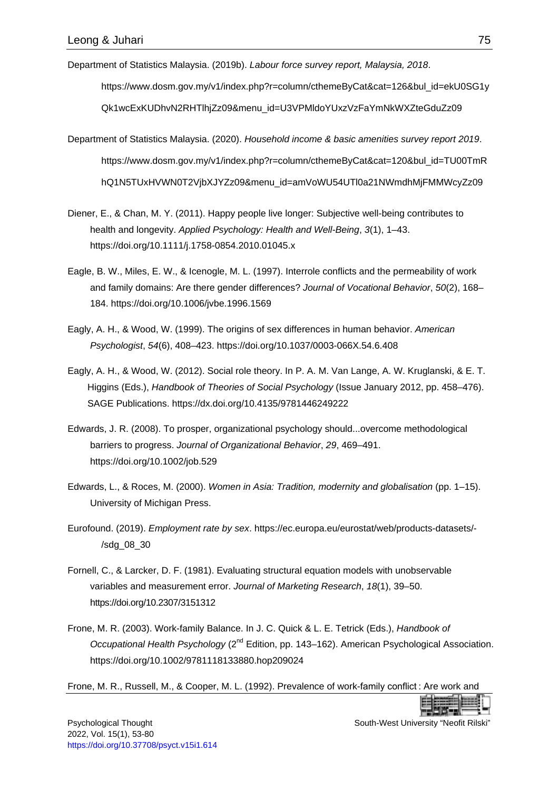<span id="page-22-1"></span>Department of Statistics Malaysia. (2019b). *Labour force survey report, Malaysia, 2018*.

[https://www.dosm.gov.my/v1/index.php?r=column/cthemeByCat&cat=126&bul\\_id=ekU0SG1y](https://www.dosm.gov.my/v1/index.php?r=column/cthemeByCat&cat=126&bul_id=ekU0SG1yQk1wcExKUDhvN2RHTlhjZz09&menu_id=U3VPMldoYUxzVzFaYmNkWXZteGduZz09) [Qk1wcExKUDhvN2RHTlhjZz09&menu\\_id=U3VPMldoYUxzVzFaYmNkWXZteGduZz09](https://www.dosm.gov.my/v1/index.php?r=column/cthemeByCat&cat=126&bul_id=ekU0SG1yQk1wcExKUDhvN2RHTlhjZz09&menu_id=U3VPMldoYUxzVzFaYmNkWXZteGduZz09)

- <span id="page-22-8"></span>Department of Statistics Malaysia. (2020). *Household income & basic amenities survey report 2019*. [https://www.dosm.gov.my/v1/index.php?r=column/cthemeByCat&cat=120&bul\\_id=TU00TmR](https://www.dosm.gov.my/v1/index.php?r=column/cthemeByCat&cat=120&bul_id=TU00TmRhQ1N5TUxHVWN0T2VjbXJYZz09&menu_id=amVoWU54UTl0a21NWmdhMjFMMWcyZz09) [hQ1N5TUxHVWN0T2VjbXJYZz09&menu\\_id=amVoWU54UTl0a21NWmdhMjFMMWcyZz09](https://www.dosm.gov.my/v1/index.php?r=column/cthemeByCat&cat=120&bul_id=TU00TmRhQ1N5TUxHVWN0T2VjbXJYZz09&menu_id=amVoWU54UTl0a21NWmdhMjFMMWcyZz09)
- <span id="page-22-0"></span>Diener, E., & Chan, M. Y. (2011). Happy people live longer: Subjective well-being contributes to health and longevity. *Applied Psychology: Health and Well-Being*, *3*(1), 1–43. <https://doi.org/10.1111/j.1758-0854.2010.01045.x>
- <span id="page-22-10"></span>Eagle, B. W., Miles, E. W., & Icenogle, M. L. (1997). Interrole conflicts and the permeability of work and family domains: Are there gender differences? *Journal of Vocational Behavior*, *50*(2), 168– 184.<https://doi.org/10.1006/jvbe.1996.1569>
- <span id="page-22-4"></span>Eagly, A. H., & Wood, W. (1999). The origins of sex differences in human behavior. *American Psychologist*, *54*(6), 408–423. [https://doi.org/10.1037/0003-066X.54.6.408](https://doi.apa.org/doi/10.1037/0003-066X.54.6.408)
- <span id="page-22-3"></span>Eagly, A. H., & Wood, W. (2012). Social role theory. In P. A. M. Van Lange, A. W. Kruglanski, & E. T. Higgins (Eds.), *Handbook of Theories of Social Psychology* (Issue January 2012, pp. 458–476). SAGE Publications.<https://dx.doi.org/10.4135/9781446249222>
- <span id="page-22-11"></span>Edwards, J. R. (2008). To prosper, organizational psychology should...overcome methodological barriers to progress. *Journal of Organizational Behavior*, *29*, 469–491. <https://doi.org/10.1002/job.529>
- <span id="page-22-5"></span>Edwards, L., & Roces, M. (2000). *Women in Asia: Tradition, modernity and globalisation* (pp. 1–15). University of Michigan Press.
- <span id="page-22-2"></span>Eurofound. (2019). *Employment rate by sex*. [https://ec.europa.eu/eurostat/web/products-datasets/-](https://ec.europa.eu/eurostat/web/products-datasets/-/sdg_08_30) [/sdg\\_08\\_30](https://ec.europa.eu/eurostat/web/products-datasets/-/sdg_08_30)
- <span id="page-22-9"></span>Fornell, C., & Larcker, D. F. (1981). Evaluating structural equation models with unobservable variables and measurement error. *Journal of Marketing Research*, *18*(1), 39–50. <https://doi.org/10.2307/3151312>
- <span id="page-22-6"></span>Frone, M. R. (2003). Work-family Balance. In J. C. Quick & L. E. Tetrick (Eds.), *Handbook of Occupational Health Psychology* (2<sup>nd</sup> Edition, pp. 143–162). American Psychological Association. <https://doi.org/10.1002/9781118133880.hop209024>

<span id="page-22-7"></span>Frone, M. R., Russell, M., & Cooper, M. L. (1992). Prevalence of work-family conflict : Are work and

Psychological Thought South-West University "Neofit Rilski"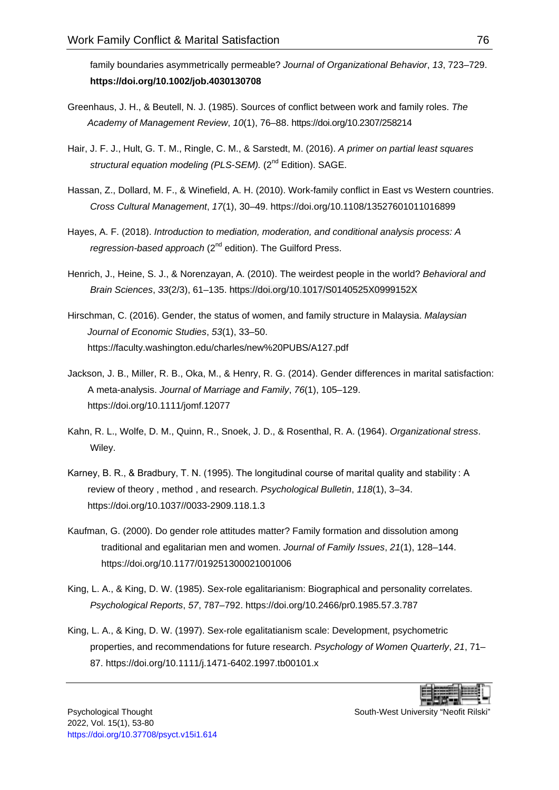family boundaries asymmetrically permeable? *Journal of Organizational Behavior*, *13*, 723–729. **<https://doi.org/10.1002/job.4030130708>**

- <span id="page-23-7"></span>Greenhaus, J. H., & Beutell, N. J. (1985). Sources of conflict between work and family roles. *The Academy of Management Review*, *10*(1), 76–88.<https://doi.org/10.2307/258214>
- <span id="page-23-9"></span>Hair, J. F. J., Hult, G. T. M., Ringle, C. M., & Sarstedt, M. (2016). *A primer on partial least squares*  structural equation modeling (PLS-SEM). (2<sup>nd</sup> Edition). SAGE.
- <span id="page-23-3"></span>Hassan, Z., Dollard, M. F., & Winefield, A. H. (2010). Work-family conflict in East vs Western countries. *Cross Cultural Management*, *17*(1), 30–49. <https://doi.org/10.1108/13527601011016899>
- <span id="page-23-8"></span>Hayes, A. F. (2018). *Introduction to mediation, moderation, and conditional analysis process: A*  regression-based approach (2<sup>nd</sup> edition). The Guilford Press.
- <span id="page-23-2"></span>Henrich, J., Heine, S. J., & Norenzayan, A. (2010). The weirdest people in the world? *Behavioral and Brain Sciences*, *33*(2/3), 61–135.<https://doi.org/10.1017/S0140525X0999152X>
- <span id="page-23-10"></span>Hirschman, C. (2016). Gender, the status of women, and family structure in Malaysia. *Malaysian Journal of Economic Studies*, *53*(1), 33–50. <https://faculty.washington.edu/charles/new%20PUBS/A127.pdf>
- <span id="page-23-1"></span>Jackson, J. B., Miller, R. B., Oka, M., & Henry, R. G. (2014). Gender differences in marital satisfaction: A meta-analysis. *Journal of Marriage and Family*, *76*(1), 105–129. <https://doi.org/10.1111/jomf.12077>
- <span id="page-23-6"></span>Kahn, R. L., Wolfe, D. M., Quinn, R., Snoek, J. D., & Rosenthal, R. A. (1964). *Organizational stress*. Wiley.
- <span id="page-23-0"></span>Karney, B. R., & Bradbury, T. N. (1995). The longitudinal course of marital quality and stability : A review of theory , method , and research. *Psychological Bulletin*, *118*(1), 3–34. [https://doi.org/10.1037//0033-2909.118.1.3](https://doi.org/10.1037/0033-2909.118.1.3)
- <span id="page-23-4"></span>Kaufman, G. (2000). Do gender role attitudes matter? Family formation and dissolution among traditional and egalitarian men and women. *Journal of Family Issues*, *21*(1), 128–144. <https://doi.org/10.1177/019251300021001006>
- <span id="page-23-11"></span>King, L. A., & King, D. W. (1985). Sex-role egalitarianism: Biographical and personality correlates. *Psychological Reports*, *57*, 787–792. [https://doi.org/10.2466/pr0.1985.57.3.787](https://doi.org/10.2466%2Fpr0.1985.57.3.787)
- <span id="page-23-5"></span>King, L. A., & King, D. W. (1997). Sex-role egalitatianism scale: Development, psychometric properties, and recommendations for future research. *Psychology of Women Quarterly*, *21*, 71– 87. [https://doi.org/10.1111/j.1471-6402.1997.tb00101.x](https://doi.org/10.1111%2Fj.1471-6402.1997.tb00101.x)

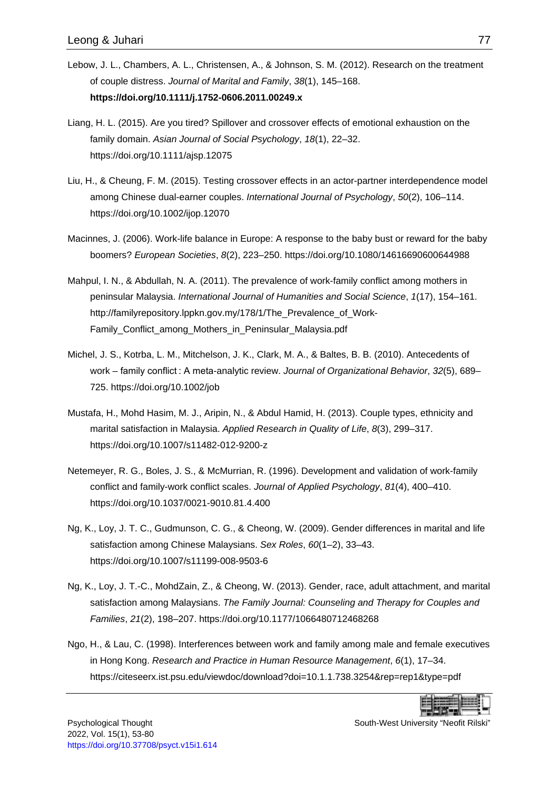- <span id="page-24-0"></span>Lebow, J. L., Chambers, A. L., Christensen, A., & Johnson, S. M. (2012). Research on the treatment of couple distress. *Journal of Marital and Family*, *38*(1), 145–168. **<https://doi.org/10.1111/j.1752-0606.2011.00249.x>**
- <span id="page-24-9"></span>Liang, H. L. (2015). Are you tired? Spillover and crossover effects of emotional exhaustion on the family domain. *Asian Journal of Social Psychology*, *18*(1), 22–32. <https://doi.org/10.1111/ajsp.12075>
- <span id="page-24-7"></span>Liu, H., & Cheung, F. M. (2015). Testing crossover effects in an actor-partner interdependence model among Chinese dual-earner couples. *International Journal of Psychology*, *50*(2), 106–114. <https://doi.org/10.1002/ijop.12070>
- <span id="page-24-5"></span>Macinnes, J. (2006). Work-life balance in Europe: A response to the baby bust or reward for the baby boomers? *European Societies*, *8*(2), 223–250.<https://doi.org/10.1080/14616690600644988>
- <span id="page-24-8"></span>Mahpul, I. N., & Abdullah, N. A. (2011). The prevalence of work-family conflict among mothers in peninsular Malaysia. *International Journal of Humanities and Social Science*, *1*(17), 154–161. [http://familyrepository.lppkn.gov.my/178/1/The\\_Prevalence\\_of\\_Work-](http://familyrepository.lppkn.gov.my/178/1/The_Prevalence_of_Work-Family_Conflict_among_Mothers_in_Peninsular_Malaysia.pdf)[Family\\_Conflict\\_among\\_Mothers\\_in\\_Peninsular\\_Malaysia.pdf](http://familyrepository.lppkn.gov.my/178/1/The_Prevalence_of_Work-Family_Conflict_among_Mothers_in_Peninsular_Malaysia.pdf)
- <span id="page-24-4"></span>Michel, J. S., Kotrba, L. M., Mitchelson, J. K., Clark, M. A., & Baltes, B. B. (2010). Antecedents of work – family conflict : A meta-analytic review. *Journal of Organizational Behavior*, *32*(5), 689– 725.<https://doi.org/10.1002/job>
- <span id="page-24-1"></span>Mustafa, H., Mohd Hasim, M. J., Aripin, N., & Abdul Hamid, H. (2013). Couple types, ethnicity and marital satisfaction in Malaysia. *Applied Research in Quality of Life*, *8*(3), 299–317. <https://doi.org/10.1007/s11482-012-9200-z>
- <span id="page-24-10"></span>Netemeyer, R. G., Boles, J. S., & McMurrian, R. (1996). Development and validation of work-family conflict and family-work conflict scales. *Journal of Applied Psychology*, *81*(4), 400–410. <https://doi.org/10.1037/0021-9010.81.4.400>
- <span id="page-24-2"></span>Ng, K., Loy, J. T. C., Gudmunson, C. G., & Cheong, W. (2009). Gender differences in marital and life satisfaction among Chinese Malaysians. *Sex Roles*, *60*(1–2), 33–43. <https://doi.org/10.1007/s11199-008-9503-6>
- <span id="page-24-3"></span>Ng, K., Loy, J. T.-C., MohdZain, Z., & Cheong, W. (2013). Gender, race, adult attachment, and marital satisfaction among Malaysians. *The Family Journal: Counseling and Therapy for Couples and Families*, *21*(2), 198–207.<https://doi.org/10.1177/1066480712468268>
- <span id="page-24-6"></span>Ngo, H., & Lau, C. (1998). Interferences between work and family among male and female executives in Hong Kong. *Research and Practice in Human Resource Management*, *6*(1), 17–34. <https://citeseerx.ist.psu.edu/viewdoc/download?doi=10.1.1.738.3254&rep=rep1&type=pdf>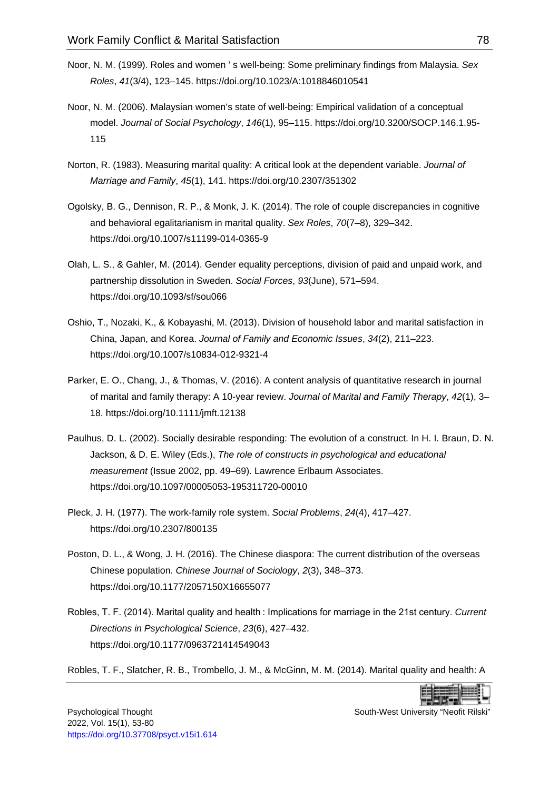- <span id="page-25-3"></span>Noor, N. M. (1999). Roles and women ' s well-being: Some preliminary findings from Malaysia. *Sex Roles*, *41*(3/4), 123–145.<https://doi.org/10.1023/A:1018846010541>
- <span id="page-25-10"></span>Noor, N. M. (2006). Malaysian women's state of well-being: Empirical validation of a conceptual model. *Journal of Social Psychology*, *146*(1), 95–115. [https://doi.org/10.3200/SOCP.146.1.95-](https://doi.org/10.3200/SOCP.146.1.95-115) [115](https://doi.org/10.3200/SOCP.146.1.95-115)
- <span id="page-25-9"></span>Norton, R. (1983). Measuring marital quality: A critical look at the dependent variable. *Journal of Marriage and Family*, *45*(1), 141.<https://doi.org/10.2307/351302>
- <span id="page-25-4"></span>Ogolsky, B. G., Dennison, R. P., & Monk, J. K. (2014). The role of couple discrepancies in cognitive and behavioral egalitarianism in marital quality. *Sex Roles*, *70*(7–8), 329–342. <https://doi.org/10.1007/s11199-014-0365-9>
- <span id="page-25-6"></span>Olah, L. S., & Gahler, M. (2014). Gender equality perceptions, division of paid and unpaid work, and partnership dissolution in Sweden. *Social Forces*, *93*(June), 571–594. <https://doi.org/10.1093/sf/sou066>
- <span id="page-25-5"></span>Oshio, T., Nozaki, K., & Kobayashi, M. (2013). Division of household labor and marital satisfaction in China, Japan, and Korea. *Journal of Family and Economic Issues*, *34*(2), 211–223. <https://doi.org/10.1007/s10834-012-9321-4>
- <span id="page-25-8"></span>Parker, E. O., Chang, J., & Thomas, V. (2016). A content analysis of quantitative research in journal of marital and family therapy: A 10-year review. *Journal of Marital and Family Therapy*, *42*(1), 3– 18.<https://doi.org/10.1111/jmft.12138>
- <span id="page-25-11"></span>Paulhus, D. L. (2002). Socially desirable responding: The evolution of a construct. In H. I. Braun, D. N. Jackson, & D. E. Wiley (Eds.), *The role of constructs in psychological and educational measurement* (Issue 2002, pp. 49–69). Lawrence Erlbaum Associates. <https://doi.org/10.1097/00005053-195311720-00010>
- <span id="page-25-7"></span>Pleck, J. H. (1977). The work-family role system. *Social Problems*, *24*(4), 417–427. <https://doi.org/10.2307/800135>
- <span id="page-25-2"></span>Poston, D. L., & Wong, J. H. (2016). The Chinese diaspora: The current distribution of the overseas Chinese population. *Chinese Journal of Sociology*, *2*(3), 348–373. <https://doi.org/10.1177/2057150X16655077>
- <span id="page-25-0"></span>Robles, T. F. (2014). Marital quality and health : Implications for marriage in the 21st century. *Current Directions in Psychological Science*, *23*(6), 427–432. <https://doi.org/10.1177/0963721414549043>

<span id="page-25-1"></span>Robles, T. F., Slatcher, R. B., Trombello, J. M., & McGinn, M. M. (2014). Marital quality and health: A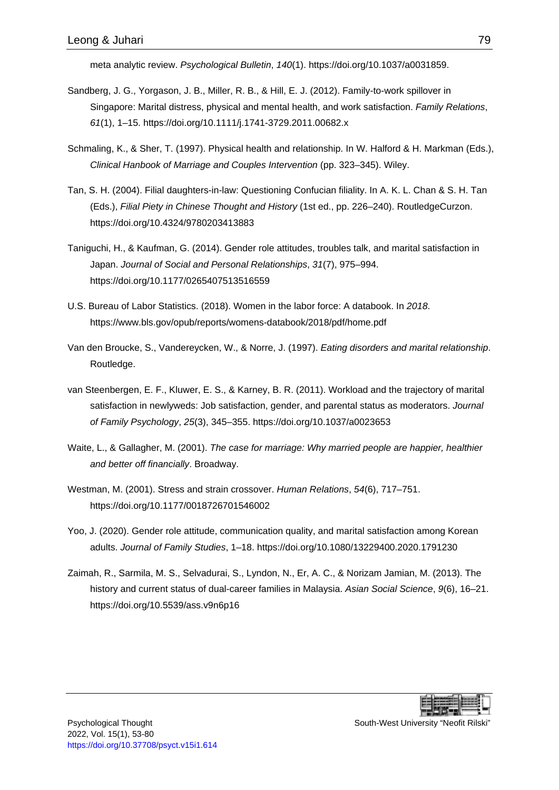meta analytic review. *Psychological Bulletin*, *140*(1). [https://doi.org/10.1037/a0031859.](https://doi.org/10.1037/a0031859)

- <span id="page-26-10"></span>Sandberg, J. G., Yorgason, J. B., Miller, R. B., & Hill, E. J. (2012). Family-to-work spillover in Singapore: Marital distress, physical and mental health, and work satisfaction. *Family Relations*, *61*(1), 1–15.<https://doi.org/10.1111/j.1741-3729.2011.00682.x>
- <span id="page-26-2"></span>Schmaling, K., & Sher, T. (1997). Physical health and relationship. In W. Halford & H. Markman (Eds.), *Clinical Hanbook of Marriage and Couples Intervention* (pp. 323–345). Wiley.
- <span id="page-26-5"></span>Tan, S. H. (2004). Filial daughters-in-law: Questioning Confucian filiality. In A. K. L. Chan & S. H. Tan (Eds.), *Filial Piety in Chinese Thought and History* (1st ed., pp. 226–240). RoutledgeCurzon. <https://doi.org/10.4324/9780203413883>
- <span id="page-26-6"></span>Taniguchi, H., & Kaufman, G. (2014). Gender role attitudes, troubles talk, and marital satisfaction in Japan. *Journal of Social and Personal Relationships*, *31*(7), 975–994. [https://doi.org/10.1177/0265407513516559](https://doi.org/10.1177%2F0265407513516559)
- <span id="page-26-4"></span>U.S. Bureau of Labor Statistics. (2018). Women in the labor force: A databook. In *2018*. <https://www.bls.gov/opub/reports/womens-databook/2018/pdf/home.pdf>
- <span id="page-26-1"></span>Van den Broucke, S., Vandereycken, W., & Norre, J. (1997). *Eating disorders and marital relationship*. Routledge.
- <span id="page-26-9"></span>van Steenbergen, E. F., Kluwer, E. S., & Karney, B. R. (2011). Workload and the trajectory of marital satisfaction in newlyweds: Job satisfaction, gender, and parental status as moderators. *Journal of Family Psychology*, *25*(3), 345–355.<https://doi.org/10.1037/a0023653>
- <span id="page-26-0"></span>Waite, L., & Gallagher, M. (2001). *The case for marriage: Why married people are happier, healthier and better off financially*. Broadway.
- <span id="page-26-8"></span>Westman, M. (2001). Stress and strain crossover. *Human Relations*, *54*(6), 717–751. <https://doi.org/10.1177/0018726701546002>
- <span id="page-26-7"></span>Yoo, J. (2020). Gender role attitude, communication quality, and marital satisfaction among Korean adults. *Journal of Family Studies*, 1–18.<https://doi.org/10.1080/13229400.2020.1791230>
- <span id="page-26-3"></span>Zaimah, R., Sarmila, M. S., Selvadurai, S., Lyndon, N., Er, A. C., & Norizam Jamian, M. (2013). The history and current status of dual-career families in Malaysia. *Asian Social Science*, *9*(6), 16–21. <https://doi.org/10.5539/ass.v9n6p16>